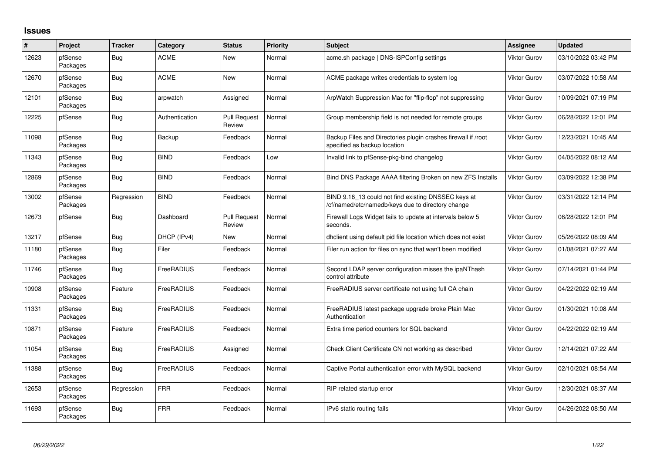## **Issues**

| $\vert$ # | Project             | <b>Tracker</b> | Category       | <b>Status</b>                 | <b>Priority</b> | <b>Subject</b>                                                                                           | <b>Assignee</b>     | <b>Updated</b>      |
|-----------|---------------------|----------------|----------------|-------------------------------|-----------------|----------------------------------------------------------------------------------------------------------|---------------------|---------------------|
| 12623     | pfSense<br>Packages | <b>Bug</b>     | <b>ACME</b>    | <b>New</b>                    | Normal          | acme.sh package   DNS-ISPConfig settings                                                                 | Viktor Gurov        | 03/10/2022 03:42 PM |
| 12670     | pfSense<br>Packages | Bug            | <b>ACME</b>    | <b>New</b>                    | Normal          | ACME package writes credentials to system log                                                            | <b>Viktor Gurov</b> | 03/07/2022 10:58 AM |
| 12101     | pfSense<br>Packages | Bug            | arpwatch       | Assigned                      | Normal          | ArpWatch Suppression Mac for "flip-flop" not suppressing                                                 | <b>Viktor Gurov</b> | 10/09/2021 07:19 PM |
| 12225     | pfSense             | <b>Bug</b>     | Authentication | <b>Pull Request</b><br>Review | Normal          | Group membership field is not needed for remote groups                                                   | <b>Viktor Gurov</b> | 06/28/2022 12:01 PM |
| 11098     | pfSense<br>Packages | Bug            | Backup         | Feedback                      | Normal          | Backup Files and Directories plugin crashes firewall if /root<br>specified as backup location            | <b>Viktor Gurov</b> | 12/23/2021 10:45 AM |
| 11343     | pfSense<br>Packages | <b>Bug</b>     | <b>BIND</b>    | Feedback                      | Low             | Invalid link to pfSense-pkg-bind changelog                                                               | <b>Viktor Gurov</b> | 04/05/2022 08:12 AM |
| 12869     | pfSense<br>Packages | <b>Bug</b>     | <b>BIND</b>    | Feedback                      | Normal          | Bind DNS Package AAAA filtering Broken on new ZFS Installs                                               | Viktor Gurov        | 03/09/2022 12:38 PM |
| 13002     | pfSense<br>Packages | Regression     | <b>BIND</b>    | Feedback                      | Normal          | BIND 9.16_13 could not find existing DNSSEC keys at<br>/cf/named/etc/namedb/keys due to directory change | <b>Viktor Gurov</b> | 03/31/2022 12:14 PM |
| 12673     | pfSense             | <b>Bug</b>     | Dashboard      | <b>Pull Request</b><br>Review | Normal          | Firewall Logs Widget fails to update at intervals below 5<br>seconds.                                    | <b>Viktor Gurov</b> | 06/28/2022 12:01 PM |
| 13217     | pfSense             | <b>Bug</b>     | DHCP (IPv4)    | New                           | Normal          | dhclient using default pid file location which does not exist                                            | <b>Viktor Gurov</b> | 05/26/2022 08:09 AM |
| 11180     | pfSense<br>Packages | <b>Bug</b>     | Filer          | Feedback                      | Normal          | Filer run action for files on sync that wan't been modified                                              | Viktor Gurov        | 01/08/2021 07:27 AM |
| 11746     | pfSense<br>Packages | Bug            | FreeRADIUS     | Feedback                      | Normal          | Second LDAP server configuration misses the ipaNThash<br>control attribute                               | <b>Viktor Gurov</b> | 07/14/2021 01:44 PM |
| 10908     | pfSense<br>Packages | Feature        | FreeRADIUS     | Feedback                      | Normal          | FreeRADIUS server certificate not using full CA chain                                                    | <b>Viktor Gurov</b> | 04/22/2022 02:19 AM |
| 11331     | pfSense<br>Packages | Bug            | FreeRADIUS     | Feedback                      | Normal          | FreeRADIUS latest package upgrade broke Plain Mac<br>Authentication                                      | <b>Viktor Gurov</b> | 01/30/2021 10:08 AM |
| 10871     | pfSense<br>Packages | Feature        | FreeRADIUS     | Feedback                      | Normal          | Extra time period counters for SQL backend                                                               | <b>Viktor Gurov</b> | 04/22/2022 02:19 AM |
| 11054     | pfSense<br>Packages | <b>Bug</b>     | FreeRADIUS     | Assigned                      | Normal          | Check Client Certificate CN not working as described                                                     | <b>Viktor Gurov</b> | 12/14/2021 07:22 AM |
| 11388     | pfSense<br>Packages | Bug            | FreeRADIUS     | Feedback                      | Normal          | Captive Portal authentication error with MySQL backend                                                   | <b>Viktor Gurov</b> | 02/10/2021 08:54 AM |
| 12653     | pfSense<br>Packages | Regression     | <b>FRR</b>     | Feedback                      | Normal          | RIP related startup error                                                                                | <b>Viktor Gurov</b> | 12/30/2021 08:37 AM |
| 11693     | pfSense<br>Packages | <b>Bug</b>     | <b>FRR</b>     | Feedback                      | Normal          | IPv6 static routing fails                                                                                | <b>Viktor Gurov</b> | 04/26/2022 08:50 AM |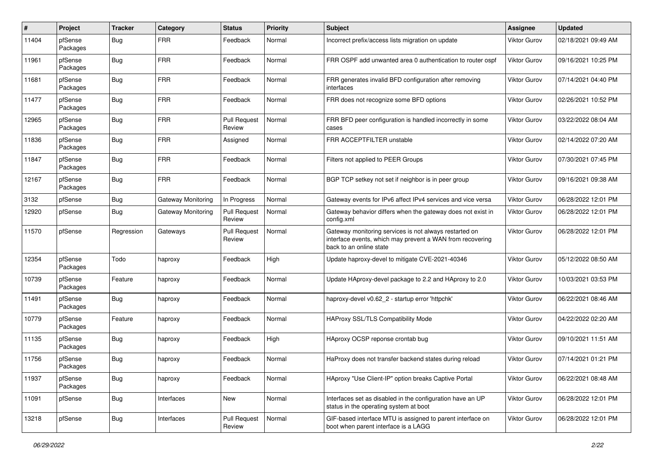| $\pmb{\#}$ | Project             | <b>Tracker</b> | Category           | <b>Status</b>                 | <b>Priority</b> | <b>Subject</b>                                                                                                                                 | Assignee            | <b>Updated</b>      |
|------------|---------------------|----------------|--------------------|-------------------------------|-----------------|------------------------------------------------------------------------------------------------------------------------------------------------|---------------------|---------------------|
| 11404      | pfSense<br>Packages | Bug            | <b>FRR</b>         | Feedback                      | Normal          | Incorrect prefix/access lists migration on update                                                                                              | Viktor Gurov        | 02/18/2021 09:49 AM |
| 11961      | pfSense<br>Packages | Bug            | <b>FRR</b>         | Feedback                      | Normal          | FRR OSPF add unwanted area 0 authentication to router ospf                                                                                     | Viktor Gurov        | 09/16/2021 10:25 PM |
| 11681      | pfSense<br>Packages | <b>Bug</b>     | <b>FRR</b>         | Feedback                      | Normal          | FRR generates invalid BFD configuration after removing<br>interfaces                                                                           | Viktor Gurov        | 07/14/2021 04:40 PM |
| 11477      | pfSense<br>Packages | <b>Bug</b>     | <b>FRR</b>         | Feedback                      | Normal          | FRR does not recognize some BFD options                                                                                                        | <b>Viktor Gurov</b> | 02/26/2021 10:52 PM |
| 12965      | pfSense<br>Packages | <b>Bug</b>     | <b>FRR</b>         | <b>Pull Request</b><br>Review | Normal          | FRR BFD peer configuration is handled incorrectly in some<br>cases                                                                             | Viktor Gurov        | 03/22/2022 08:04 AM |
| 11836      | pfSense<br>Packages | <b>Bug</b>     | <b>FRR</b>         | Assigned                      | Normal          | FRR ACCEPTFILTER unstable                                                                                                                      | <b>Viktor Gurov</b> | 02/14/2022 07:20 AM |
| 11847      | pfSense<br>Packages | <b>Bug</b>     | <b>FRR</b>         | Feedback                      | Normal          | Filters not applied to PEER Groups                                                                                                             | Viktor Gurov        | 07/30/2021 07:45 PM |
| 12167      | pfSense<br>Packages | <b>Bug</b>     | <b>FRR</b>         | Feedback                      | Normal          | BGP TCP setkey not set if neighbor is in peer group                                                                                            | Viktor Gurov        | 09/16/2021 09:38 AM |
| 3132       | pfSense             | Bug            | Gateway Monitoring | In Progress                   | Normal          | Gateway events for IPv6 affect IPv4 services and vice versa                                                                                    | Viktor Gurov        | 06/28/2022 12:01 PM |
| 12920      | pfSense             | <b>Bug</b>     | Gateway Monitoring | <b>Pull Request</b><br>Review | Normal          | Gateway behavior differs when the gateway does not exist in<br>config.xml                                                                      | Viktor Gurov        | 06/28/2022 12:01 PM |
| 11570      | pfSense             | Regression     | Gateways           | <b>Pull Request</b><br>Review | Normal          | Gateway monitoring services is not always restarted on<br>interface events, which may prevent a WAN from recovering<br>back to an online state | <b>Viktor Gurov</b> | 06/28/2022 12:01 PM |
| 12354      | pfSense<br>Packages | Todo           | haproxy            | Feedback                      | High            | Update haproxy-devel to mitigate CVE-2021-40346                                                                                                | Viktor Gurov        | 05/12/2022 08:50 AM |
| 10739      | pfSense<br>Packages | Feature        | haproxy            | Feedback                      | Normal          | Update HAproxy-devel package to 2.2 and HAproxy to 2.0                                                                                         | Viktor Gurov        | 10/03/2021 03:53 PM |
| 11491      | pfSense<br>Packages | <b>Bug</b>     | haproxy            | Feedback                      | Normal          | haproxy-devel v0.62 2 - startup error 'httpchk'                                                                                                | Viktor Gurov        | 06/22/2021 08:46 AM |
| 10779      | pfSense<br>Packages | Feature        | haproxy            | Feedback                      | Normal          | HAProxy SSL/TLS Compatibility Mode                                                                                                             | Viktor Gurov        | 04/22/2022 02:20 AM |
| 11135      | pfSense<br>Packages | <b>Bug</b>     | haproxy            | Feedback                      | High            | HAproxy OCSP reponse crontab bug                                                                                                               | Viktor Gurov        | 09/10/2021 11:51 AM |
| 11756      | pfSense<br>Packages | <b>Bug</b>     | haproxy            | Feedback                      | Normal          | HaProxy does not transfer backend states during reload                                                                                         | Viktor Gurov        | 07/14/2021 01:21 PM |
| 11937      | pfSense<br>Packages | <b>Bug</b>     | haproxy            | Feedback                      | Normal          | HAproxy "Use Client-IP" option breaks Captive Portal                                                                                           | <b>Viktor Gurov</b> | 06/22/2021 08:48 AM |
| 11091      | pfSense             | Bug            | Interfaces         | New                           | Normal          | Interfaces set as disabled in the configuration have an UP<br>status in the operating system at boot                                           | Viktor Gurov        | 06/28/2022 12:01 PM |
| 13218      | pfSense             | <b>Bug</b>     | Interfaces         | <b>Pull Request</b><br>Review | Normal          | GIF-based interface MTU is assigned to parent interface on<br>boot when parent interface is a LAGG                                             | <b>Viktor Gurov</b> | 06/28/2022 12:01 PM |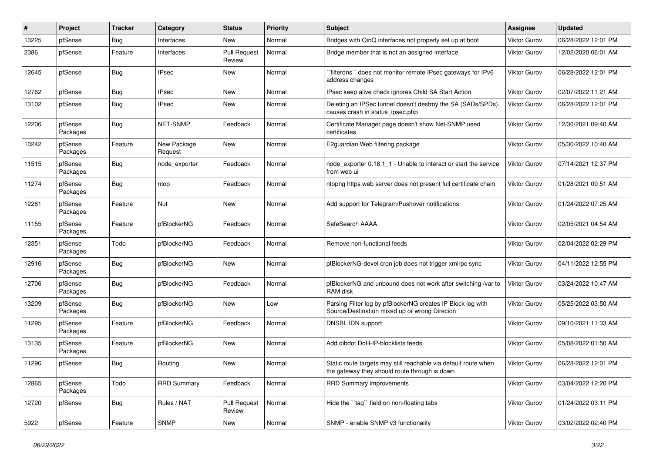| #     | Project             | Tracker    | Category               | <b>Status</b>                 | <b>Priority</b> | Subject                                                                                                          | Assignee            | <b>Updated</b>      |
|-------|---------------------|------------|------------------------|-------------------------------|-----------------|------------------------------------------------------------------------------------------------------------------|---------------------|---------------------|
| 13225 | pfSense             | <b>Bug</b> | Interfaces             | New                           | Normal          | Bridges with QinQ interfaces not properly set up at boot                                                         | Viktor Gurov        | 06/28/2022 12:01 PM |
| 2386  | pfSense             | Feature    | Interfaces             | Pull Request<br>Review        | Normal          | Bridge member that is not an assigned interface                                                                  | <b>Viktor Gurov</b> | 12/02/2020 06:01 AM |
| 12645 | pfSense             | <b>Bug</b> | <b>IPsec</b>           | New                           | Normal          | `filterdns`` does not monitor remote IPsec gateways for IPv6<br>address changes                                  | <b>Viktor Gurov</b> | 06/28/2022 12:01 PM |
| 12762 | pfSense             | <b>Bug</b> | <b>IPsec</b>           | New                           | Normal          | IPsec keep alive check ignores Child SA Start Action                                                             | <b>Viktor Gurov</b> | 02/07/2022 11:21 AM |
| 13102 | pfSense             | <b>Bug</b> | <b>IPsec</b>           | New                           | Normal          | Deleting an IPSec tunnel doesn't destroy the SA (SADs/SPDs),<br>causes crash in status_ipsec.php                 | Viktor Gurov        | 06/28/2022 12:01 PM |
| 12206 | pfSense<br>Packages | <b>Bug</b> | NET-SNMP               | Feedback                      | Normal          | Certificate Manager page doesn't show Net-SNMP used<br>certificates                                              | Viktor Gurov        | 12/30/2021 09:40 AM |
| 10242 | pfSense<br>Packages | Feature    | New Package<br>Request | New                           | Normal          | E2guardian Web filtering package                                                                                 | Viktor Gurov        | 05/30/2022 10:40 AM |
| 11515 | pfSense<br>Packages | <b>Bug</b> | node exporter          | Feedback                      | Normal          | node exporter 0.18.1 1 - Unable to interact or start the service<br>from web ui                                  | Viktor Gurov        | 07/14/2021 12:37 PM |
| 11274 | pfSense<br>Packages | <b>Bug</b> | ntop                   | Feedback                      | Normal          | ntopng https web server does not present full certificate chain                                                  | <b>Viktor Gurov</b> | 01/28/2021 09:51 AM |
| 12281 | pfSense<br>Packages | Feature    | Nut                    | <b>New</b>                    | Normal          | Add support for Telegram/Pushover notifications                                                                  | <b>Viktor Gurov</b> | 01/24/2022 07:25 AM |
| 11155 | pfSense<br>Packages | Feature    | pfBlockerNG            | Feedback                      | Normal          | SafeSearch AAAA                                                                                                  | <b>Viktor Gurov</b> | 02/05/2021 04:54 AM |
| 12351 | pfSense<br>Packages | Todo       | pfBlockerNG            | Feedback                      | Normal          | Remove non-functional feeds                                                                                      | <b>Viktor Gurov</b> | 02/04/2022 02:29 PM |
| 12916 | pfSense<br>Packages | Bug        | pfBlockerNG            | New                           | Normal          | pfBlockerNG-devel cron job does not trigger xmlrpc sync                                                          | <b>Viktor Gurov</b> | 04/11/2022 12:55 PM |
| 12706 | pfSense<br>Packages | Bug        | pfBlockerNG            | Feedback                      | Normal          | pfBlockerNG and unbound does not work after switching /var to<br>RAM disk                                        | Viktor Gurov        | 03/24/2022 10:47 AM |
| 13209 | pfSense<br>Packages | Bug        | pfBlockerNG            | New                           | Low             | Parsing Filter log by pfBlockerNG creates IP Block log with<br>Source/Destination mixed up or wrong Direcion     | <b>Viktor Gurov</b> | 05/25/2022 03:50 AM |
| 11295 | pfSense<br>Packages | Feature    | pfBlockerNG            | Feedback                      | Normal          | DNSBL IDN support                                                                                                | <b>Viktor Gurov</b> | 09/10/2021 11:33 AM |
| 13135 | pfSense<br>Packages | Feature    | pfBlockerNG            | <b>New</b>                    | Normal          | Add dibdot DoH-IP-blocklists feeds                                                                               | <b>Viktor Gurov</b> | 05/08/2022 01:50 AM |
| 11296 | pfSense             | <b>Bug</b> | Routing                | New                           | Normal          | Static route targets may still reachable via default route when<br>the gateway they should route through is down | <b>Viktor Gurov</b> | 06/28/2022 12:01 PM |
| 12865 | pfSense<br>Packages | Todo       | <b>RRD Summary</b>     | Feedback                      | Normal          | RRD Summary improvements                                                                                         | Viktor Gurov        | 03/04/2022 12:20 PM |
| 12720 | pfSense             | <b>Bug</b> | Rules / NAT            | <b>Pull Request</b><br>Review | Normal          | Hide the "tag" field on non-floating tabs                                                                        | Viktor Gurov        | 01/24/2022 03:11 PM |
| 5922  | pfSense             | Feature    | <b>SNMP</b>            | New                           | Normal          | SNMP - enable SNMP v3 functionality                                                                              | Viktor Gurov        | 03/02/2022 02:40 PM |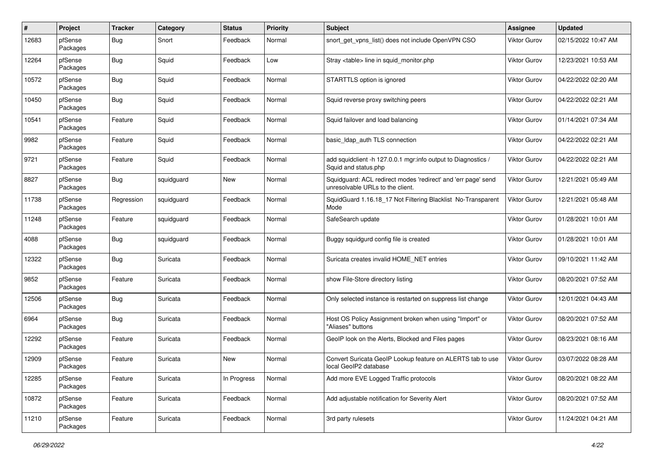| $\pmb{\#}$ | Project             | <b>Tracker</b> | Category   | <b>Status</b> | <b>Priority</b> | <b>Subject</b>                                                                                    | Assignee            | <b>Updated</b>      |
|------------|---------------------|----------------|------------|---------------|-----------------|---------------------------------------------------------------------------------------------------|---------------------|---------------------|
| 12683      | pfSense<br>Packages | <b>Bug</b>     | Snort      | Feedback      | Normal          | snort get vpns list() does not include OpenVPN CSO                                                | Viktor Gurov        | 02/15/2022 10:47 AM |
| 12264      | pfSense<br>Packages | <b>Bug</b>     | Squid      | Feedback      | Low             | Stray <table> line in squid monitor.php</table>                                                   | Viktor Gurov        | 12/23/2021 10:53 AM |
| 10572      | pfSense<br>Packages | <b>Bug</b>     | Squid      | Feedback      | Normal          | STARTTLS option is ignored                                                                        | Viktor Gurov        | 04/22/2022 02:20 AM |
| 10450      | pfSense<br>Packages | Bug            | Squid      | Feedback      | Normal          | Squid reverse proxy switching peers                                                               | Viktor Gurov        | 04/22/2022 02:21 AM |
| 10541      | pfSense<br>Packages | Feature        | Squid      | Feedback      | Normal          | Squid failover and load balancing                                                                 | Viktor Gurov        | 01/14/2021 07:34 AM |
| 9982       | pfSense<br>Packages | Feature        | Squid      | Feedback      | Normal          | basic Idap auth TLS connection                                                                    | Viktor Gurov        | 04/22/2022 02:21 AM |
| 9721       | pfSense<br>Packages | Feature        | Squid      | Feedback      | Normal          | add squidclient -h 127.0.0.1 mgr:info output to Diagnostics /<br>Squid and status.php             | Viktor Gurov        | 04/22/2022 02:21 AM |
| 8827       | pfSense<br>Packages | <b>Bug</b>     | squidguard | New           | Normal          | Squidguard: ACL redirect modes 'redirect' and 'err page' send<br>unresolvable URLs to the client. | Viktor Gurov        | 12/21/2021 05:49 AM |
| 11738      | pfSense<br>Packages | Regression     | squidguard | Feedback      | Normal          | SquidGuard 1.16.18_17 Not Filtering Blacklist No-Transparent<br>Mode                              | Viktor Gurov        | 12/21/2021 05:48 AM |
| 11248      | pfSense<br>Packages | Feature        | squidguard | Feedback      | Normal          | SafeSearch update                                                                                 | Viktor Gurov        | 01/28/2021 10:01 AM |
| 4088       | pfSense<br>Packages | Bug            | squidguard | Feedback      | Normal          | Buggy squidgurd config file is created                                                            | Viktor Gurov        | 01/28/2021 10:01 AM |
| 12322      | pfSense<br>Packages | <b>Bug</b>     | Suricata   | Feedback      | Normal          | Suricata creates invalid HOME_NET entries                                                         | Viktor Gurov        | 09/10/2021 11:42 AM |
| 9852       | pfSense<br>Packages | Feature        | Suricata   | Feedback      | Normal          | show File-Store directory listing                                                                 | <b>Viktor Gurov</b> | 08/20/2021 07:52 AM |
| 12506      | pfSense<br>Packages | <b>Bug</b>     | Suricata   | Feedback      | Normal          | Only selected instance is restarted on suppress list change                                       | Viktor Gurov        | 12/01/2021 04:43 AM |
| 6964       | pfSense<br>Packages | <b>Bug</b>     | Suricata   | Feedback      | Normal          | Host OS Policy Assignment broken when using "Import" or<br>"Aliases" buttons                      | Viktor Gurov        | 08/20/2021 07:52 AM |
| 12292      | pfSense<br>Packages | Feature        | Suricata   | Feedback      | Normal          | GeoIP look on the Alerts, Blocked and Files pages                                                 | Viktor Gurov        | 08/23/2021 08:16 AM |
| 12909      | pfSense<br>Packages | Feature        | Suricata   | New           | Normal          | Convert Suricata GeoIP Lookup feature on ALERTS tab to use<br>local GeoIP2 database               | Viktor Gurov        | 03/07/2022 08:28 AM |
| 12285      | pfSense<br>Packages | Feature        | Suricata   | In Progress   | Normal          | Add more EVE Logged Traffic protocols                                                             | Viktor Gurov        | 08/20/2021 08:22 AM |
| 10872      | pfSense<br>Packages | Feature        | Suricata   | Feedback      | Normal          | Add adjustable notification for Severity Alert                                                    | Viktor Gurov        | 08/20/2021 07:52 AM |
| 11210      | pfSense<br>Packages | Feature        | Suricata   | Feedback      | Normal          | 3rd party rulesets                                                                                | Viktor Gurov        | 11/24/2021 04:21 AM |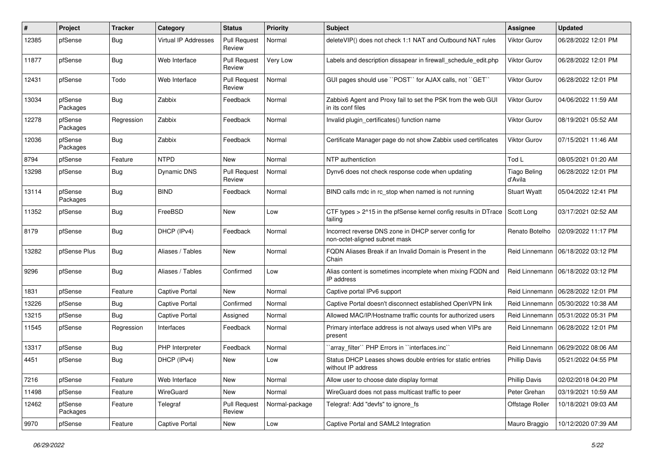| #     | Project             | <b>Tracker</b> | Category              | <b>Status</b>                 | <b>Priority</b> | <b>Subject</b>                                                                        | <b>Assignee</b>                | <b>Updated</b>      |
|-------|---------------------|----------------|-----------------------|-------------------------------|-----------------|---------------------------------------------------------------------------------------|--------------------------------|---------------------|
| 12385 | pfSense             | Bug            | Virtual IP Addresses  | <b>Pull Request</b><br>Review | Normal          | deleteVIP() does not check 1:1 NAT and Outbound NAT rules                             | Viktor Gurov                   | 06/28/2022 12:01 PM |
| 11877 | pfSense             | Bug            | Web Interface         | Pull Request<br>Review        | <b>Very Low</b> | Labels and description dissapear in firewall schedule edit.php                        | Viktor Gurov                   | 06/28/2022 12:01 PM |
| 12431 | pfSense             | Todo           | Web Interface         | <b>Pull Request</b><br>Review | Normal          | GUI pages should use "POST" for AJAX calls, not "GET"                                 | Viktor Gurov                   | 06/28/2022 12:01 PM |
| 13034 | pfSense<br>Packages | Bug            | Zabbix                | Feedback                      | Normal          | Zabbix6 Agent and Proxy fail to set the PSK from the web GUI<br>in its conf files     | Viktor Gurov                   | 04/06/2022 11:59 AM |
| 12278 | pfSense<br>Packages | Regression     | Zabbix                | Feedback                      | Normal          | Invalid plugin certificates() function name                                           | Viktor Gurov                   | 08/19/2021 05:52 AM |
| 12036 | pfSense<br>Packages | Bug            | Zabbix                | Feedback                      | Normal          | Certificate Manager page do not show Zabbix used certificates                         | <b>Viktor Gurov</b>            | 07/15/2021 11:46 AM |
| 8794  | pfSense             | Feature        | <b>NTPD</b>           | <b>New</b>                    | Normal          | NTP authentiction                                                                     | Tod L                          | 08/05/2021 01:20 AM |
| 13298 | pfSense             | <b>Bug</b>     | Dynamic DNS           | <b>Pull Request</b><br>Review | Normal          | Dynv6 does not check response code when updating                                      | <b>Tiago Beling</b><br>d'Avila | 06/28/2022 12:01 PM |
| 13114 | pfSense<br>Packages | <b>Bug</b>     | <b>BIND</b>           | Feedback                      | Normal          | BIND calls rndc in rc stop when named is not running                                  | <b>Stuart Wyatt</b>            | 05/04/2022 12:41 PM |
| 11352 | pfSense             | <b>Bug</b>     | FreeBSD               | New                           | Low             | CTF types > 2^15 in the pfSense kernel config results in DTrace<br>failing            | Scott Long                     | 03/17/2021 02:52 AM |
| 8179  | pfSense             | Bug            | DHCP (IPv4)           | Feedback                      | Normal          | Incorrect reverse DNS zone in DHCP server config for<br>non-octet-aligned subnet mask | Renato Botelho                 | 02/09/2022 11:17 PM |
| 13282 | pfSense Plus        | <b>Bug</b>     | Aliases / Tables      | New                           | Normal          | FQDN Aliases Break if an Invalid Domain is Present in the<br>Chain                    | Reid Linnemann                 | 06/18/2022 03:12 PM |
| 9296  | pfSense             | <b>Bug</b>     | Aliases / Tables      | Confirmed                     | Low             | Alias content is sometimes incomplete when mixing FQDN and<br>IP address              | Reid Linnemann                 | 06/18/2022 03:12 PM |
| 1831  | pfSense             | Feature        | <b>Captive Portal</b> | <b>New</b>                    | Normal          | Captive portal IPv6 support                                                           | Reid Linnemann                 | 06/28/2022 12:01 PM |
| 13226 | pfSense             | <b>Bug</b>     | <b>Captive Portal</b> | Confirmed                     | Normal          | Captive Portal doesn't disconnect established OpenVPN link                            | Reid Linnemann                 | 05/30/2022 10:38 AM |
| 13215 | pfSense             | Bug            | Captive Portal        | Assigned                      | Normal          | Allowed MAC/IP/Hostname traffic counts for authorized users                           | Reid Linnemann                 | 05/31/2022 05:31 PM |
| 11545 | pfSense             | Regression     | Interfaces            | Feedback                      | Normal          | Primary interface address is not always used when VIPs are<br>present                 | Reid Linnemann                 | 06/28/2022 12:01 PM |
| 13317 | pfSense             | <b>Bug</b>     | PHP Interpreter       | Feedback                      | Normal          | 'array_filter'' PHP Errors in ''interfaces.inc''                                      | Reid Linnemann                 | 06/29/2022 08:06 AM |
| 4451  | pfSense             | <b>Bug</b>     | DHCP (IPv4)           | New                           | Low             | Status DHCP Leases shows double entries for static entries<br>without IP address      | <b>Phillip Davis</b>           | 05/21/2022 04:55 PM |
| 7216  | pfSense             | Feature        | Web Interface         | New                           | Normal          | Allow user to choose date display format                                              | <b>Phillip Davis</b>           | 02/02/2018 04:20 PM |
| 11498 | pfSense             | Feature        | WireGuard             | New                           | Normal          | WireGuard does not pass multicast traffic to peer                                     | Peter Grehan                   | 03/19/2021 10:59 AM |
| 12462 | pfSense<br>Packages | Feature        | Telegraf              | <b>Pull Request</b><br>Review | Normal-package  | Telegraf: Add "devfs" to ignore_fs                                                    | Offstage Roller                | 10/18/2021 09:03 AM |
| 9970  | pfSense             | Feature        | <b>Captive Portal</b> | New                           | Low             | Captive Portal and SAML2 Integration                                                  | Mauro Braggio                  | 10/12/2020 07:39 AM |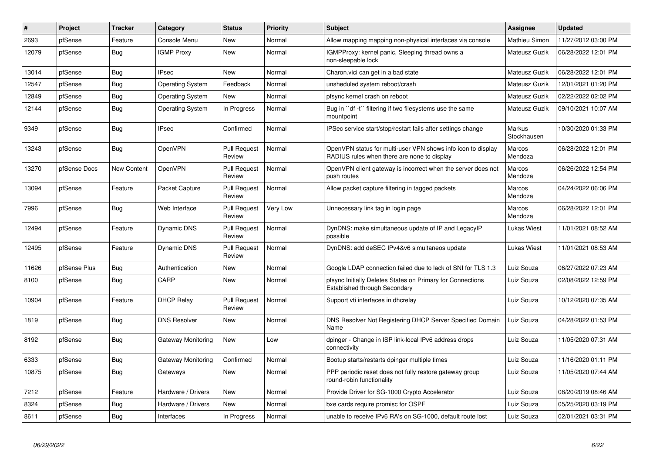| $\#$  | Project      | <b>Tracker</b>     | Category                | <b>Status</b>                 | <b>Priority</b> | <b>Subject</b>                                                                                              | <b>Assignee</b>       | <b>Updated</b>      |
|-------|--------------|--------------------|-------------------------|-------------------------------|-----------------|-------------------------------------------------------------------------------------------------------------|-----------------------|---------------------|
| 2693  | pfSense      | Feature            | Console Menu            | <b>New</b>                    | Normal          | Allow mapping mapping non-physical interfaces via console                                                   | Mathieu Simon         | 11/27/2012 03:00 PM |
| 12079 | pfSense      | Bug                | <b>IGMP Proxy</b>       | New                           | Normal          | IGMPProxy: kernel panic, Sleeping thread owns a<br>non-sleepable lock                                       | Mateusz Guzik         | 06/28/2022 12:01 PM |
| 13014 | pfSense      | <b>Bug</b>         | <b>IPsec</b>            | <b>New</b>                    | Normal          | Charon.vici can get in a bad state                                                                          | Mateusz Guzik         | 06/28/2022 12:01 PM |
| 12547 | pfSense      | <b>Bug</b>         | <b>Operating System</b> | Feedback                      | Normal          | unsheduled system reboot/crash                                                                              | Mateusz Guzik         | 12/01/2021 01:20 PM |
| 12849 | pfSense      | <b>Bug</b>         | <b>Operating System</b> | <b>New</b>                    | Normal          | pfsync kernel crash on reboot                                                                               | Mateusz Guzik         | 02/22/2022 02:02 PM |
| 12144 | pfSense      | <b>Bug</b>         | <b>Operating System</b> | In Progress                   | Normal          | Bug in "df -t" filtering if two filesystems use the same<br>mountpoint                                      | Mateusz Guzik         | 09/10/2021 10:07 AM |
| 9349  | pfSense      | Bug                | <b>IPsec</b>            | Confirmed                     | Normal          | IPSec service start/stop/restart fails after settings change                                                | Markus<br>Stockhausen | 10/30/2020 01:33 PM |
| 13243 | pfSense      | <b>Bug</b>         | OpenVPN                 | <b>Pull Request</b><br>Review | Normal          | OpenVPN status for multi-user VPN shows info icon to display<br>RADIUS rules when there are none to display | Marcos<br>Mendoza     | 06/28/2022 12:01 PM |
| 13270 | pfSense Docs | <b>New Content</b> | OpenVPN                 | <b>Pull Request</b><br>Review | Normal          | OpenVPN client gateway is incorrect when the server does not<br>push routes                                 | Marcos<br>Mendoza     | 06/26/2022 12:54 PM |
| 13094 | pfSense      | Feature            | Packet Capture          | <b>Pull Request</b><br>Review | Normal          | Allow packet capture filtering in tagged packets                                                            | Marcos<br>Mendoza     | 04/24/2022 06:06 PM |
| 7996  | pfSense      | Bug                | Web Interface           | <b>Pull Request</b><br>Review | Very Low        | Unnecessary link tag in login page                                                                          | Marcos<br>Mendoza     | 06/28/2022 12:01 PM |
| 12494 | pfSense      | Feature            | <b>Dynamic DNS</b>      | <b>Pull Request</b><br>Review | Normal          | DynDNS: make simultaneous update of IP and LegacyIP<br>possible                                             | <b>Lukas Wiest</b>    | 11/01/2021 08:52 AM |
| 12495 | pfSense      | Feature            | Dynamic DNS             | <b>Pull Request</b><br>Review | Normal          | DynDNS: add deSEC IPv4&v6 simultaneos update                                                                | Lukas Wiest           | 11/01/2021 08:53 AM |
| 11626 | pfSense Plus | Bug                | Authentication          | <b>New</b>                    | Normal          | Google LDAP connection failed due to lack of SNI for TLS 1.3                                                | Luiz Souza            | 06/27/2022 07:23 AM |
| 8100  | pfSense      | <b>Bug</b>         | CARP                    | New                           | Normal          | pfsync Initially Deletes States on Primary for Connections<br>Established through Secondary                 | Luiz Souza            | 02/08/2022 12:59 PM |
| 10904 | pfSense      | Feature            | <b>DHCP Relay</b>       | <b>Pull Request</b><br>Review | Normal          | Support vti interfaces in dhcrelay                                                                          | Luiz Souza            | 10/12/2020 07:35 AM |
| 1819  | pfSense      | <b>Bug</b>         | <b>DNS Resolver</b>     | New                           | Normal          | DNS Resolver Not Registering DHCP Server Specified Domain<br>Name                                           | Luiz Souza            | 04/28/2022 01:53 PM |
| 8192  | pfSense      | <b>Bug</b>         | Gateway Monitoring      | <b>New</b>                    | Low             | dpinger - Change in ISP link-local IPv6 address drops<br>connectivity                                       | Luiz Souza            | 11/05/2020 07:31 AM |
| 6333  | pfSense      | <b>Bug</b>         | Gateway Monitoring      | Confirmed                     | Normal          | Bootup starts/restarts dpinger multiple times                                                               | Luiz Souza            | 11/16/2020 01:11 PM |
| 10875 | pfSense      | Bug                | Gateways                | New                           | Normal          | PPP periodic reset does not fully restore gateway group<br>round-robin functionality                        | Luiz Souza            | 11/05/2020 07:44 AM |
| 7212  | pfSense      | Feature            | Hardware / Drivers      | New                           | Normal          | Provide Driver for SG-1000 Crypto Accelerator                                                               | Luiz Souza            | 08/20/2019 08:46 AM |
| 8324  | pfSense      | <b>Bug</b>         | Hardware / Drivers      | <b>New</b>                    | Normal          | bxe cards require promisc for OSPF                                                                          | Luiz Souza            | 05/25/2020 03:19 PM |
| 8611  | pfSense      | Bug                | Interfaces              | In Progress                   | Normal          | unable to receive IPv6 RA's on SG-1000, default route lost                                                  | Luiz Souza            | 02/01/2021 03:31 PM |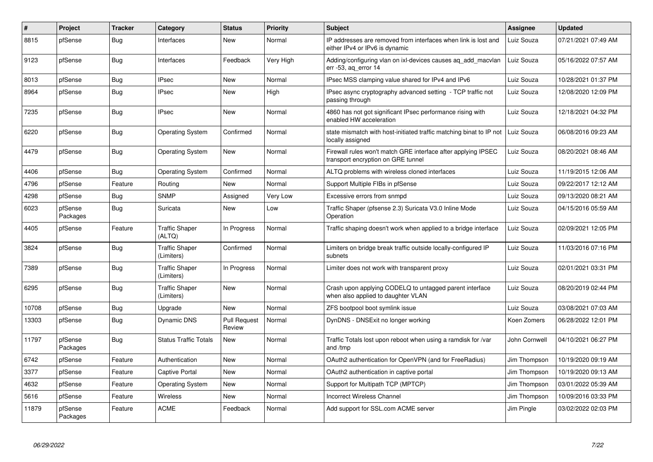| #     | Project             | <b>Tracker</b> | Category                            | <b>Status</b>          | <b>Priority</b> | <b>Subject</b>                                                                                      | Assignee      | <b>Updated</b>      |
|-------|---------------------|----------------|-------------------------------------|------------------------|-----------------|-----------------------------------------------------------------------------------------------------|---------------|---------------------|
| 8815  | pfSense             | <b>Bug</b>     | Interfaces                          | <b>New</b>             | Normal          | IP addresses are removed from interfaces when link is lost and<br>either IPv4 or IPv6 is dynamic    | Luiz Souza    | 07/21/2021 07:49 AM |
| 9123  | pfSense             | Bug            | Interfaces                          | Feedback               | Very High       | Adding/configuring vlan on ixl-devices causes aq_add_macvlan<br>err -53, ag error 14                | Luiz Souza    | 05/16/2022 07:57 AM |
| 8013  | pfSense             | Bug            | <b>IPsec</b>                        | New                    | Normal          | IPsec MSS clamping value shared for IPv4 and IPv6                                                   | Luiz Souza    | 10/28/2021 01:37 PM |
| 8964  | pfSense             | <b>Bug</b>     | <b>IPsec</b>                        | New                    | High            | IPsec async cryptography advanced setting - TCP traffic not<br>passing through                      | Luiz Souza    | 12/08/2020 12:09 PM |
| 7235  | pfSense             | <b>Bug</b>     | <b>IPsec</b>                        | <b>New</b>             | Normal          | 4860 has not got significant IPsec performance rising with<br>enabled HW acceleration               | Luiz Souza    | 12/18/2021 04:32 PM |
| 6220  | pfSense             | <b>Bug</b>     | <b>Operating System</b>             | Confirmed              | Normal          | state mismatch with host-initiated traffic matching binat to IP not<br>locally assigned             | Luiz Souza    | 06/08/2016 09:23 AM |
| 4479  | pfSense             | <b>Bug</b>     | <b>Operating System</b>             | <b>New</b>             | Normal          | Firewall rules won't match GRE interface after applying IPSEC<br>transport encryption on GRE tunnel | Luiz Souza    | 08/20/2021 08:46 AM |
| 4406  | pfSense             | Bug            | <b>Operating System</b>             | Confirmed              | Normal          | ALTQ problems with wireless cloned interfaces                                                       | Luiz Souza    | 11/19/2015 12:06 AM |
| 4796  | pfSense             | Feature        | Routing                             | <b>New</b>             | Normal          | Support Multiple FIBs in pfSense                                                                    | Luiz Souza    | 09/22/2017 12:12 AM |
| 4298  | pfSense             | Bug            | <b>SNMP</b>                         | Assigned               | Very Low        | Excessive errors from snmpd                                                                         | Luiz Souza    | 09/13/2020 08:21 AM |
| 6023  | pfSense<br>Packages | <b>Bug</b>     | Suricata                            | <b>New</b>             | Low             | Traffic Shaper (pfsense 2.3) Suricata V3.0 Inline Mode<br>Operation                                 | Luiz Souza    | 04/15/2016 05:59 AM |
| 4405  | pfSense             | Feature        | <b>Traffic Shaper</b><br>(ALTQ)     | In Progress            | Normal          | Traffic shaping doesn't work when applied to a bridge interface                                     | Luiz Souza    | 02/09/2021 12:05 PM |
| 3824  | pfSense             | <b>Bug</b>     | <b>Traffic Shaper</b><br>(Limiters) | Confirmed              | Normal          | Limiters on bridge break traffic outside locally-configured IP<br>subnets                           | Luiz Souza    | 11/03/2016 07:16 PM |
| 7389  | pfSense             | <b>Bug</b>     | <b>Traffic Shaper</b><br>(Limiters) | In Progress            | Normal          | Limiter does not work with transparent proxy                                                        | Luiz Souza    | 02/01/2021 03:31 PM |
| 6295  | pfSense             | <b>Bug</b>     | <b>Traffic Shaper</b><br>(Limiters) | <b>New</b>             | Normal          | Crash upon applying CODELQ to untagged parent interface<br>when also applied to daughter VLAN       | Luiz Souza    | 08/20/2019 02:44 PM |
| 10708 | pfSense             | Bug            | Upgrade                             | New                    | Normal          | ZFS bootpool boot symlink issue                                                                     | Luiz Souza    | 03/08/2021 07:03 AM |
| 13303 | pfSense             | <b>Bug</b>     | <b>Dynamic DNS</b>                  | Pull Request<br>Review | Normal          | DynDNS - DNSExit no longer working                                                                  | Koen Zomers   | 06/28/2022 12:01 PM |
| 11797 | pfSense<br>Packages | Bug            | <b>Status Traffic Totals</b>        | New                    | Normal          | Traffic Totals lost upon reboot when using a ramdisk for /var<br>and /tmp                           | John Cornwell | 04/10/2021 06:27 PM |
| 6742  | pfSense             | Feature        | Authentication                      | <b>New</b>             | Normal          | OAuth2 authentication for OpenVPN (and for FreeRadius)                                              | Jim Thompson  | 10/19/2020 09:19 AM |
| 3377  | pfSense             | Feature        | <b>Captive Portal</b>               | <b>New</b>             | Normal          | OAuth2 authentication in captive portal                                                             | Jim Thompson  | 10/19/2020 09:13 AM |
| 4632  | pfSense             | Feature        | <b>Operating System</b>             | <b>New</b>             | Normal          | Support for Multipath TCP (MPTCP)                                                                   | Jim Thompson  | 03/01/2022 05:39 AM |
| 5616  | pfSense             | Feature        | Wireless                            | <b>New</b>             | Normal          | <b>Incorrect Wireless Channel</b>                                                                   | Jim Thompson  | 10/09/2016 03:33 PM |
| 11879 | pfSense<br>Packages | Feature        | <b>ACME</b>                         | Feedback               | Normal          | Add support for SSL.com ACME server                                                                 | Jim Pingle    | 03/02/2022 02:03 PM |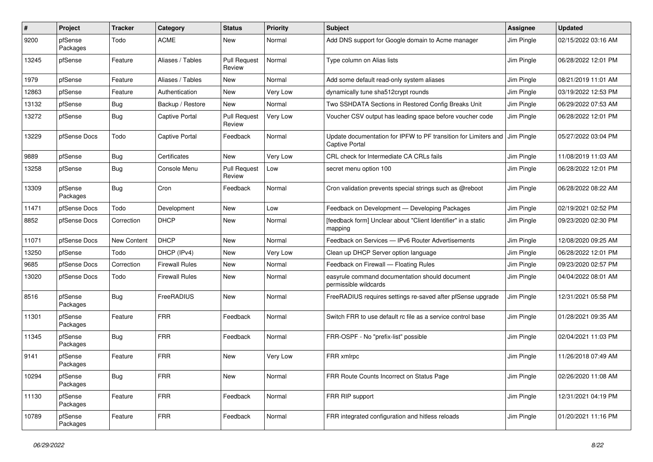| #     | Project             | Tracker     | Category              | <b>Status</b>                 | <b>Priority</b> | <b>Subject</b>                                                                           | Assignee   | <b>Updated</b>      |
|-------|---------------------|-------------|-----------------------|-------------------------------|-----------------|------------------------------------------------------------------------------------------|------------|---------------------|
| 9200  | pfSense<br>Packages | Todo        | <b>ACME</b>           | New                           | Normal          | Add DNS support for Google domain to Acme manager                                        | Jim Pingle | 02/15/2022 03:16 AM |
| 13245 | pfSense             | Feature     | Aliases / Tables      | <b>Pull Request</b><br>Review | Normal          | Type column on Alias lists                                                               | Jim Pingle | 06/28/2022 12:01 PM |
| 1979  | pfSense             | Feature     | Aliases / Tables      | New                           | Normal          | Add some default read-only system aliases                                                | Jim Pingle | 08/21/2019 11:01 AM |
| 12863 | pfSense             | Feature     | Authentication        | New                           | Very Low        | dynamically tune sha512crypt rounds                                                      | Jim Pingle | 03/19/2022 12:53 PM |
| 13132 | pfSense             | <b>Bug</b>  | Backup / Restore      | <b>New</b>                    | Normal          | Two SSHDATA Sections in Restored Config Breaks Unit                                      | Jim Pingle | 06/29/2022 07:53 AM |
| 13272 | pfSense             | <b>Bug</b>  | <b>Captive Portal</b> | <b>Pull Request</b><br>Review | Very Low        | Voucher CSV output has leading space before voucher code                                 | Jim Pingle | 06/28/2022 12:01 PM |
| 13229 | pfSense Docs        | Todo        | Captive Portal        | Feedback                      | Normal          | Update documentation for IPFW to PF transition for Limiters and<br><b>Captive Portal</b> | Jim Pingle | 05/27/2022 03:04 PM |
| 9889  | pfSense             | <b>Bug</b>  | Certificates          | New                           | Very Low        | CRL check for Intermediate CA CRLs fails                                                 | Jim Pingle | 11/08/2019 11:03 AM |
| 13258 | pfSense             | <b>Bug</b>  | Console Menu          | <b>Pull Request</b><br>Review | Low             | secret menu option 100                                                                   | Jim Pingle | 06/28/2022 12:01 PM |
| 13309 | pfSense<br>Packages | <b>Bug</b>  | Cron                  | Feedback                      | Normal          | Cron validation prevents special strings such as @reboot                                 | Jim Pingle | 06/28/2022 08:22 AM |
| 11471 | pfSense Docs        | Todo        | Development           | New                           | Low             | Feedback on Development - Developing Packages                                            | Jim Pingle | 02/19/2021 02:52 PM |
| 8852  | pfSense Docs        | Correction  | <b>DHCP</b>           | New                           | Normal          | [feedback form] Unclear about "Client Identifier" in a static<br>mapping                 | Jim Pingle | 09/23/2020 02:30 PM |
| 11071 | pfSense Docs        | New Content | <b>DHCP</b>           | New                           | Normal          | Feedback on Services - IPv6 Router Advertisements                                        | Jim Pingle | 12/08/2020 09:25 AM |
| 13250 | pfSense             | Todo        | DHCP (IPv4)           | New                           | Very Low        | Clean up DHCP Server option language                                                     | Jim Pingle | 06/28/2022 12:01 PM |
| 9685  | pfSense Docs        | Correction  | <b>Firewall Rules</b> | New                           | Normal          | Feedback on Firewall - Floating Rules                                                    | Jim Pingle | 09/23/2020 02:57 PM |
| 13020 | pfSense Docs        | Todo        | <b>Firewall Rules</b> | New                           | Normal          | easyrule command documentation should document<br>permissible wildcards                  | Jim Pingle | 04/04/2022 08:01 AM |
| 8516  | pfSense<br>Packages | <b>Bug</b>  | FreeRADIUS            | New                           | Normal          | FreeRADIUS requires settings re-saved after pfSense upgrade                              | Jim Pingle | 12/31/2021 05:58 PM |
| 11301 | pfSense<br>Packages | Feature     | <b>FRR</b>            | Feedback                      | Normal          | Switch FRR to use default rc file as a service control base                              | Jim Pingle | 01/28/2021 09:35 AM |
| 11345 | pfSense<br>Packages | <b>Bug</b>  | <b>FRR</b>            | Feedback                      | Normal          | FRR-OSPF - No "prefix-list" possible                                                     | Jim Pingle | 02/04/2021 11:03 PM |
| 9141  | pfSense<br>Packages | Feature     | <b>FRR</b>            | <b>New</b>                    | Very Low        | FRR xmlrpc                                                                               | Jim Pingle | 11/26/2018 07:49 AM |
| 10294 | pfSense<br>Packages | <b>Bug</b>  | <b>FRR</b>            | New                           | Normal          | FRR Route Counts Incorrect on Status Page                                                | Jim Pingle | 02/26/2020 11:08 AM |
| 11130 | pfSense<br>Packages | Feature     | <b>FRR</b>            | Feedback                      | Normal          | FRR RIP support                                                                          | Jim Pingle | 12/31/2021 04:19 PM |
| 10789 | pfSense<br>Packages | Feature     | FRR                   | Feedback                      | Normal          | FRR integrated configuration and hitless reloads                                         | Jim Pingle | 01/20/2021 11:16 PM |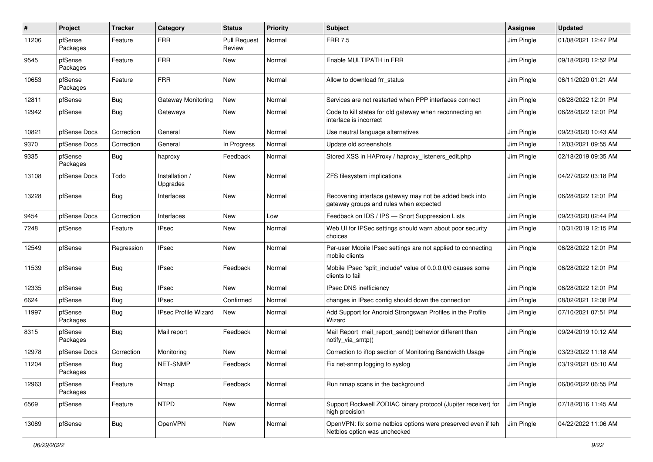| #     | Project             | <b>Tracker</b> | Category                    | <b>Status</b>                 | <b>Priority</b> | <b>Subject</b>                                                                                    | <b>Assignee</b> | <b>Updated</b>      |
|-------|---------------------|----------------|-----------------------------|-------------------------------|-----------------|---------------------------------------------------------------------------------------------------|-----------------|---------------------|
| 11206 | pfSense<br>Packages | Feature        | <b>FRR</b>                  | <b>Pull Request</b><br>Review | Normal          | <b>FRR 7.5</b>                                                                                    | Jim Pingle      | 01/08/2021 12:47 PM |
| 9545  | pfSense<br>Packages | Feature        | <b>FRR</b>                  | New                           | Normal          | Enable MULTIPATH in FRR                                                                           | Jim Pingle      | 09/18/2020 12:52 PM |
| 10653 | pfSense<br>Packages | Feature        | <b>FRR</b>                  | <b>New</b>                    | Normal          | Allow to download frr status                                                                      | Jim Pingle      | 06/11/2020 01:21 AM |
| 12811 | pfSense             | <b>Bug</b>     | Gateway Monitoring          | <b>New</b>                    | Normal          | Services are not restarted when PPP interfaces connect                                            | Jim Pingle      | 06/28/2022 12:01 PM |
| 12942 | pfSense             | <b>Bug</b>     | Gateways                    | <b>New</b>                    | Normal          | Code to kill states for old gateway when reconnecting an<br>interface is incorrect                | Jim Pingle      | 06/28/2022 12:01 PM |
| 10821 | pfSense Docs        | Correction     | General                     | <b>New</b>                    | Normal          | Use neutral language alternatives                                                                 | Jim Pingle      | 09/23/2020 10:43 AM |
| 9370  | pfSense Docs        | Correction     | General                     | In Progress                   | Normal          | Update old screenshots                                                                            | Jim Pingle      | 12/03/2021 09:55 AM |
| 9335  | pfSense<br>Packages | <b>Bug</b>     | haproxy                     | Feedback                      | Normal          | Stored XSS in HAProxy / haproxy_listeners_edit.php                                                | Jim Pingle      | 02/18/2019 09:35 AM |
| 13108 | pfSense Docs        | Todo           | Installation /<br>Upgrades  | <b>New</b>                    | Normal          | ZFS filesystem implications                                                                       | Jim Pingle      | 04/27/2022 03:18 PM |
| 13228 | pfSense             | <b>Bug</b>     | Interfaces                  | <b>New</b>                    | Normal          | Recovering interface gateway may not be added back into<br>gateway groups and rules when expected | Jim Pingle      | 06/28/2022 12:01 PM |
| 9454  | pfSense Docs        | Correction     | Interfaces                  | <b>New</b>                    | Low             | Feedback on IDS / IPS - Snort Suppression Lists                                                   | Jim Pingle      | 09/23/2020 02:44 PM |
| 7248  | pfSense             | Feature        | <b>IPsec</b>                | <b>New</b>                    | Normal          | Web UI for IPSec settings should warn about poor security<br>choices                              | Jim Pingle      | 10/31/2019 12:15 PM |
| 12549 | pfSense             | Regression     | <b>IPsec</b>                | <b>New</b>                    | Normal          | Per-user Mobile IPsec settings are not applied to connecting<br>mobile clients                    | Jim Pingle      | 06/28/2022 12:01 PM |
| 11539 | pfSense             | <b>Bug</b>     | <b>IPsec</b>                | Feedback                      | Normal          | Mobile IPsec "split include" value of 0.0.0.0/0 causes some<br>clients to fail                    | Jim Pingle      | 06/28/2022 12:01 PM |
| 12335 | pfSense             | <b>Bug</b>     | <b>IPsec</b>                | New                           | Normal          | IPsec DNS inefficiency                                                                            | Jim Pingle      | 06/28/2022 12:01 PM |
| 6624  | pfSense             | <b>Bug</b>     | <b>IPsec</b>                | Confirmed                     | Normal          | changes in IPsec config should down the connection                                                | Jim Pingle      | 08/02/2021 12:08 PM |
| 11997 | pfSense<br>Packages | <b>Bug</b>     | <b>IPsec Profile Wizard</b> | <b>New</b>                    | Normal          | Add Support for Android Strongswan Profiles in the Profile<br>Wizard                              | Jim Pingle      | 07/10/2021 07:51 PM |
| 8315  | pfSense<br>Packages | <b>Bug</b>     | Mail report                 | Feedback                      | Normal          | Mail Report mail_report_send() behavior different than<br>notify_via_smtp()                       | Jim Pingle      | 09/24/2019 10:12 AM |
| 12978 | pfSense Docs        | Correction     | Monitoring                  | <b>New</b>                    | Normal          | Correction to iftop section of Monitoring Bandwidth Usage                                         | Jim Pingle      | 03/23/2022 11:18 AM |
| 11204 | pfSense<br>Packages | <b>Bug</b>     | NET-SNMP                    | Feedback                      | Normal          | Fix net-snmp logging to syslog                                                                    | Jim Pingle      | 03/19/2021 05:10 AM |
| 12963 | pfSense<br>Packages | Feature        | Nmap                        | Feedback                      | Normal          | Run nmap scans in the background                                                                  | Jim Pingle      | 06/06/2022 06:55 PM |
| 6569  | pfSense             | Feature        | <b>NTPD</b>                 | New                           | Normal          | Support Rockwell ZODIAC binary protocol (Jupiter receiver) for<br>high precision                  | Jim Pingle      | 07/18/2016 11:45 AM |
| 13089 | pfSense             | <b>Bug</b>     | OpenVPN                     | New                           | Normal          | OpenVPN: fix some netbios options were preserved even if teh<br>Netbios option was unchecked      | Jim Pingle      | 04/22/2022 11:06 AM |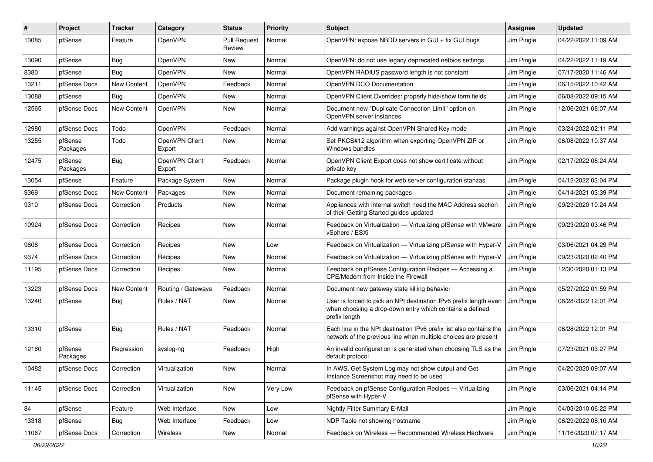| #     | Project             | Tracker            | Category                 | <b>Status</b>                 | Priority | <b>Subject</b>                                                                                                                                 | <b>Assignee</b> | <b>Updated</b>      |
|-------|---------------------|--------------------|--------------------------|-------------------------------|----------|------------------------------------------------------------------------------------------------------------------------------------------------|-----------------|---------------------|
| 13085 | pfSense             | Feature            | OpenVPN                  | <b>Pull Request</b><br>Review | Normal   | OpenVPN: expose NBDD servers in GUI + fix GUI bugs                                                                                             | Jim Pingle      | 04/22/2022 11:09 AM |
| 13090 | pfSense             | <b>Bug</b>         | OpenVPN                  | New                           | Normal   | OpenVPN: do not use legacy deprecated netbios settings                                                                                         | Jim Pingle      | 04/22/2022 11:19 AM |
| 8380  | pfSense             | <b>Bug</b>         | OpenVPN                  | New                           | Normal   | OpenVPN RADIUS password length is not constant                                                                                                 | Jim Pingle      | 07/17/2020 11:46 AM |
| 13211 | pfSense Docs        | New Content        | OpenVPN                  | Feedback                      | Normal   | OpenVPN DCO Documentation                                                                                                                      | Jim Pingle      | 06/15/2022 10:42 AM |
| 13088 | pfSense             | Bug                | OpenVPN                  | New                           | Normal   | OpenVPN Client Overrides: properly hide/show form fields                                                                                       | Jim Pingle      | 06/08/2022 09:15 AM |
| 12565 | pfSense Docs        | New Content        | OpenVPN                  | New                           | Normal   | Document new "Duplicate Connection Limit" option on<br>OpenVPN server instances                                                                | Jim Pingle      | 12/06/2021 08:07 AM |
| 12980 | pfSense Docs        | Todo               | OpenVPN                  | Feedback                      | Normal   | Add warnings against OpenVPN Shared Key mode                                                                                                   | Jim Pingle      | 03/24/2022 02:11 PM |
| 13255 | pfSense<br>Packages | Todo               | OpenVPN Client<br>Export | New                           | Normal   | Set PKCS#12 algorithm when exporting OpenVPN ZIP or<br>Windows bundles                                                                         | Jim Pingle      | 06/08/2022 10:37 AM |
| 12475 | pfSense<br>Packages | <b>Bug</b>         | OpenVPN Client<br>Export | Feedback                      | Normal   | OpenVPN Client Export does not show certificate without<br>private key                                                                         | Jim Pingle      | 02/17/2022 08:24 AM |
| 13054 | pfSense             | Feature            | Package System           | New                           | Normal   | Package plugin hook for web server configuration stanzas                                                                                       | Jim Pingle      | 04/12/2022 03:04 PM |
| 9369  | pfSense Docs        | <b>New Content</b> | Packages                 | New                           | Normal   | Document remaining packages                                                                                                                    | Jim Pingle      | 04/14/2021 03:39 PM |
| 9310  | pfSense Docs        | Correction         | Products                 | New                           | Normal   | Appliances with internal switch need the MAC Address section<br>of their Getting Started guides updated                                        | Jim Pingle      | 09/23/2020 10:24 AM |
| 10924 | pfSense Docs        | Correction         | Recipes                  | New                           | Normal   | Feedback on Virtualization - Virtualizing pfSense with VMware<br>vSphere / ESXi                                                                | Jim Pingle      | 09/23/2020 03:46 PM |
| 9608  | pfSense Docs        | Correction         | Recipes                  | New                           | Low      | Feedback on Virtualization - Virtualizing pfSense with Hyper-V                                                                                 | Jim Pingle      | 03/06/2021 04:29 PM |
| 9374  | pfSense Docs        | Correction         | Recipes                  | New                           | Normal   | Feedback on Virtualization - Virtualizing pfSense with Hyper-V                                                                                 | Jim Pingle      | 09/23/2020 02:40 PM |
| 11195 | pfSense Docs        | Correction         | Recipes                  | New                           | Normal   | Feedback on pfSense Configuration Recipes - Accessing a<br>CPE/Modem from Inside the Firewall                                                  | Jim Pingle      | 12/30/2020 01:13 PM |
| 13223 | pfSense Docs        | New Content        | Routing / Gateways       | Feedback                      | Normal   | Document new gateway state killing behavior                                                                                                    | Jim Pingle      | 05/27/2022 01:59 PM |
| 13240 | pfSense             | <b>Bug</b>         | Rules / NAT              | New                           | Normal   | User is forced to pick an NPt destination IPv6 prefix length even<br>when choosing a drop-down entry which contains a defined<br>prefix length | Jim Pingle      | 06/28/2022 12:01 PM |
| 13310 | pfSense             | Bug                | Rules / NAT              | Feedback                      | Normal   | Each line in the NPt destination IPv6 prefix list also contains the<br>network of the previous line when multiple choices are present          | Jim Pingle      | 06/28/2022 12:01 PM |
| 12160 | pfSense<br>Packages | Regression         | syslog-ng                | Feedback                      | High     | An invalid configuration is generated when choosing TLS as the<br>default protocol                                                             | Jim Pingle      | 07/23/2021 03:27 PM |
| 10482 | pfSense Docs        | Correction         | Virtualization           | New                           | Normal   | In AWS, Get System Log may not show output and Get<br>Instance Screenshot may need to be used                                                  | Jim Pingle      | 04/20/2020 09:07 AM |
| 11145 | pfSense Docs        | Correction         | Virtualization           | New                           | Very Low | Feedback on pfSense Configuration Recipes - Virtualizing<br>pfSense with Hyper-V                                                               | Jim Pingle      | 03/06/2021 04:14 PM |
| 84    | pfSense             | Feature            | Web Interface            | New                           | Low      | Nightly Filter Summary E-Mail                                                                                                                  | Jim Pingle      | 04/03/2010 06:22 PM |
| 13318 | pfSense             | <b>Bug</b>         | Web Interface            | Feedback                      | Low      | NDP Table not showing hostname                                                                                                                 | Jim Pingle      | 06/29/2022 08:10 AM |
| 11067 | pfSense Docs        | Correction         | Wireless                 | New                           | Normal   | Feedback on Wireless - Recommended Wireless Hardware                                                                                           | Jim Pingle      | 11/16/2020 07:17 AM |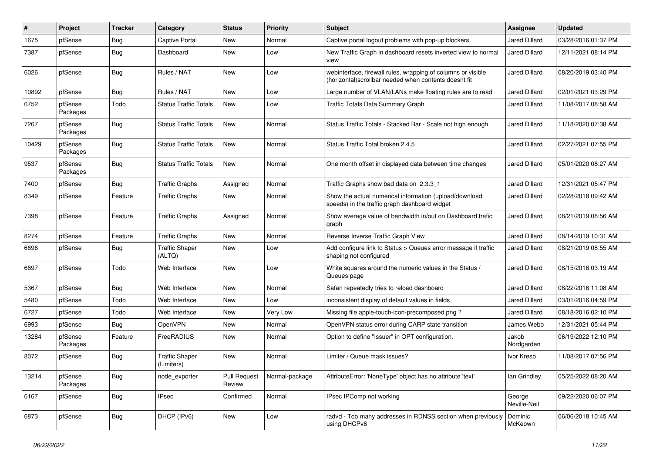| #     | Project             | <b>Tracker</b> | Category                            | <b>Status</b>                 | <b>Priority</b> | <b>Subject</b>                                                                                                         | Assignee               | <b>Updated</b>      |
|-------|---------------------|----------------|-------------------------------------|-------------------------------|-----------------|------------------------------------------------------------------------------------------------------------------------|------------------------|---------------------|
| 1675  | pfSense             | <b>Bug</b>     | Captive Portal                      | New                           | Normal          | Captive portal logout problems with pop-up blockers.                                                                   | Jared Dillard          | 03/28/2016 01:37 PM |
| 7387  | pfSense             | <b>Bug</b>     | Dashboard                           | New                           | Low             | New Traffic Graph in dashboard resets inverted view to normal<br>view                                                  | Jared Dillard          | 12/11/2021 08:14 PM |
| 6026  | pfSense             | <b>Bug</b>     | Rules / NAT                         | New                           | Low             | webinterface, firewall rules, wrapping of columns or visible<br>(horizontal) scrollbar needed when contents doesnt fit | Jared Dillard          | 08/20/2019 03:40 PM |
| 10892 | pfSense             | Bug            | Rules / NAT                         | New                           | Low             | Large number of VLAN/LANs make floating rules are to read                                                              | <b>Jared Dillard</b>   | 02/01/2021 03:29 PM |
| 6752  | pfSense<br>Packages | Todo           | <b>Status Traffic Totals</b>        | New                           | Low             | Traffic Totals Data Summary Graph                                                                                      | Jared Dillard          | 11/08/2017 08:58 AM |
| 7267  | pfSense<br>Packages | <b>Bug</b>     | <b>Status Traffic Totals</b>        | <b>New</b>                    | Normal          | Status Traffic Totals - Stacked Bar - Scale not high enough                                                            | Jared Dillard          | 11/18/2020 07:38 AM |
| 10429 | pfSense<br>Packages | <b>Bug</b>     | <b>Status Traffic Totals</b>        | <b>New</b>                    | Normal          | Status Traffic Total broken 2.4.5                                                                                      | Jared Dillard          | 02/27/2021 07:55 PM |
| 9537  | pfSense<br>Packages | <b>Bug</b>     | <b>Status Traffic Totals</b>        | <b>New</b>                    | Normal          | One month offset in displayed data between time changes                                                                | Jared Dillard          | 05/01/2020 08:27 AM |
| 7400  | pfSense             | <b>Bug</b>     | <b>Traffic Graphs</b>               | Assigned                      | Normal          | Traffic Graphs show bad data on 2.3.3 1                                                                                | <b>Jared Dillard</b>   | 12/31/2021 05:47 PM |
| 8349  | pfSense             | Feature        | <b>Traffic Graphs</b>               | New                           | Normal          | Show the actual numerical information (upload/download<br>speeds) in the traffic graph dashboard widget                | Jared Dillard          | 02/28/2018 09:42 AM |
| 7398  | pfSense             | Feature        | <b>Traffic Graphs</b>               | Assigned                      | Normal          | Show average value of bandwidth in/out on Dashboard trafic<br>graph                                                    | <b>Jared Dillard</b>   | 08/21/2019 08:56 AM |
| 8274  | pfSense             | Feature        | <b>Traffic Graphs</b>               | <b>New</b>                    | Normal          | Reverse Inverse Traffic Graph View                                                                                     | Jared Dillard          | 08/14/2019 10:31 AM |
| 6696  | pfSense             | <b>Bug</b>     | <b>Traffic Shaper</b><br>(ALTQ)     | New                           | Low             | Add configure link to Status > Queues error message if traffic<br>shaping not configured                               | Jared Dillard          | 08/21/2019 08:55 AM |
| 6697  | pfSense             | Todo           | Web Interface                       | New                           | Low             | White squares around the numeric values in the Status /<br>Queues page                                                 | <b>Jared Dillard</b>   | 08/15/2016 03:19 AM |
| 5367  | pfSense             | <b>Bug</b>     | Web Interface                       | New                           | Normal          | Safari repeatedly tries to reload dashboard                                                                            | <b>Jared Dillard</b>   | 08/22/2016 11:08 AM |
| 5480  | pfSense             | Todo           | Web Interface                       | New                           | Low             | inconsistent display of default values in fields                                                                       | <b>Jared Dillard</b>   | 03/01/2016 04:59 PM |
| 6727  | pfSense             | Todo           | Web Interface                       | New                           | Very Low        | Missing file apple-touch-icon-precomposed.png?                                                                         | Jared Dillard          | 08/18/2016 02:10 PM |
| 6993  | pfSense             | <b>Bug</b>     | <b>OpenVPN</b>                      | New                           | Normal          | OpenVPN status error during CARP state transition                                                                      | James Webb             | 12/31/2021 05:44 PM |
| 13284 | pfSense<br>Packages | Feature        | FreeRADIUS                          | New                           | Normal          | Option to define "Issuer" in OPT configuration.                                                                        | Jakob<br>Nordgarden    | 06/19/2022 12:10 PM |
| 8072  | pfSense             | <b>Bug</b>     | <b>Traffic Shaper</b><br>(Limiters) | New                           | Normal          | Limiter / Queue mask issues?                                                                                           | Ivor Kreso             | 11/08/2017 07:56 PM |
| 13214 | pfSense<br>Packages | <b>Bug</b>     | node_exporter                       | <b>Pull Request</b><br>Review | Normal-package  | AttributeError: 'NoneType' object has no attribute 'text'                                                              | lan Grindley           | 05/25/2022 08:20 AM |
| 6167  | pfSense             | Bug            | <b>IPsec</b>                        | Confirmed                     | Normal          | IPsec IPComp not working                                                                                               | George<br>Neville-Neil | 09/22/2020 06:07 PM |
| 6873  | pfSense             | <b>Bug</b>     | DHCP (IPv6)                         | New                           | Low             | radvd - Too many addresses in RDNSS section when previously<br>using DHCPv6                                            | Dominic<br>McKeown     | 06/06/2018 10:45 AM |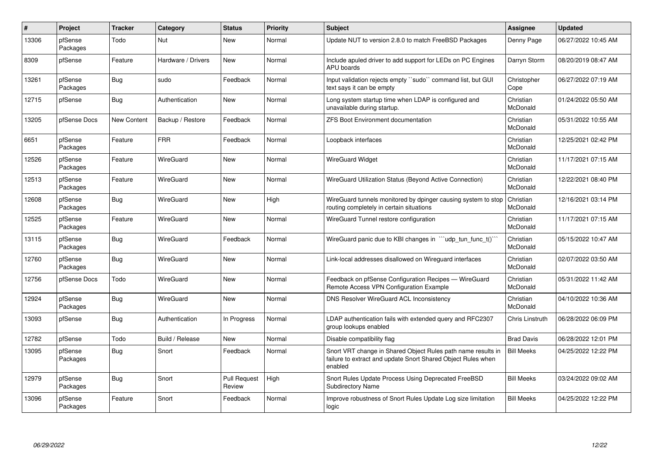| #     | Project             | <b>Tracker</b>     | Category           | <b>Status</b>                 | <b>Priority</b> | <b>Subject</b>                                                                                                                          | Assignee              | <b>Updated</b>      |
|-------|---------------------|--------------------|--------------------|-------------------------------|-----------------|-----------------------------------------------------------------------------------------------------------------------------------------|-----------------------|---------------------|
| 13306 | pfSense<br>Packages | Todo               | Nut                | <b>New</b>                    | Normal          | Update NUT to version 2.8.0 to match FreeBSD Packages                                                                                   | Denny Page            | 06/27/2022 10:45 AM |
| 8309  | pfSense             | Feature            | Hardware / Drivers | <b>New</b>                    | Normal          | Include apuled driver to add support for LEDs on PC Engines<br><b>APU</b> boards                                                        | Darryn Storm          | 08/20/2019 08:47 AM |
| 13261 | pfSense<br>Packages | Bug                | sudo               | Feedback                      | Normal          | Input validation rejects empty "sudo" command list, but GUI<br>text says it can be empty                                                | Christopher<br>Cope   | 06/27/2022 07:19 AM |
| 12715 | pfSense             | <b>Bug</b>         | Authentication     | New                           | Normal          | Long system startup time when LDAP is configured and<br>unavailable during startup.                                                     | Christian<br>McDonald | 01/24/2022 05:50 AM |
| 13205 | pfSense Docs        | <b>New Content</b> | Backup / Restore   | Feedback                      | Normal          | <b>ZFS Boot Environment documentation</b>                                                                                               | Christian<br>McDonald | 05/31/2022 10:55 AM |
| 6651  | pfSense<br>Packages | Feature            | <b>FRR</b>         | Feedback                      | Normal          | Loopback interfaces                                                                                                                     | Christian<br>McDonald | 12/25/2021 02:42 PM |
| 12526 | pfSense<br>Packages | Feature            | WireGuard          | New                           | Normal          | <b>WireGuard Widget</b>                                                                                                                 | Christian<br>McDonald | 11/17/2021 07:15 AM |
| 12513 | pfSense<br>Packages | Feature            | WireGuard          | New                           | Normal          | WireGuard Utilization Status (Beyond Active Connection)                                                                                 | Christian<br>McDonald | 12/22/2021 08:40 PM |
| 12608 | pfSense<br>Packages | <b>Bug</b>         | WireGuard          | New                           | High            | WireGuard tunnels monitored by dpinger causing system to stop<br>routing completely in certain situations                               | Christian<br>McDonald | 12/16/2021 03:14 PM |
| 12525 | pfSense<br>Packages | Feature            | WireGuard          | <b>New</b>                    | Normal          | WireGuard Tunnel restore configuration                                                                                                  | Christian<br>McDonald | 11/17/2021 07:15 AM |
| 13115 | pfSense<br>Packages | Bug                | WireGuard          | Feedback                      | Normal          | WireGuard panic due to KBI changes in "'udp_tun_func_t()'"                                                                              | Christian<br>McDonald | 05/15/2022 10:47 AM |
| 12760 | pfSense<br>Packages | Bug                | WireGuard          | New                           | Normal          | Link-local addresses disallowed on Wireguard interfaces                                                                                 | Christian<br>McDonald | 02/07/2022 03:50 AM |
| 12756 | pfSense Docs        | Todo               | WireGuard          | New                           | Normal          | Feedback on pfSense Configuration Recipes - WireGuard<br>Remote Access VPN Configuration Example                                        | Christian<br>McDonald | 05/31/2022 11:42 AM |
| 12924 | pfSense<br>Packages | <b>Bug</b>         | WireGuard          | New                           | Normal          | DNS Resolver WireGuard ACL Inconsistency                                                                                                | Christian<br>McDonald | 04/10/2022 10:36 AM |
| 13093 | pfSense             | <b>Bug</b>         | Authentication     | In Progress                   | Normal          | LDAP authentication fails with extended query and RFC2307<br>group lookups enabled                                                      | Chris Linstruth       | 06/28/2022 06:09 PM |
| 12782 | pfSense             | Todo               | Build / Release    | <b>New</b>                    | Normal          | Disable compatibility flag                                                                                                              | <b>Brad Davis</b>     | 06/28/2022 12:01 PM |
| 13095 | pfSense<br>Packages | <b>Bug</b>         | Snort              | Feedback                      | Normal          | Snort VRT change in Shared Object Rules path name results in<br>failure to extract and update Snort Shared Object Rules when<br>enabled | <b>Bill Meeks</b>     | 04/25/2022 12:22 PM |
| 12979 | pfSense<br>Packages | <b>Bug</b>         | Snort              | <b>Pull Request</b><br>Review | High            | Snort Rules Update Process Using Deprecated FreeBSD<br><b>Subdirectory Name</b>                                                         | <b>Bill Meeks</b>     | 03/24/2022 09:02 AM |
| 13096 | pfSense<br>Packages | Feature            | Snort              | Feedback                      | Normal          | Improve robustness of Snort Rules Update Log size limitation<br>logic                                                                   | <b>Bill Meeks</b>     | 04/25/2022 12:22 PM |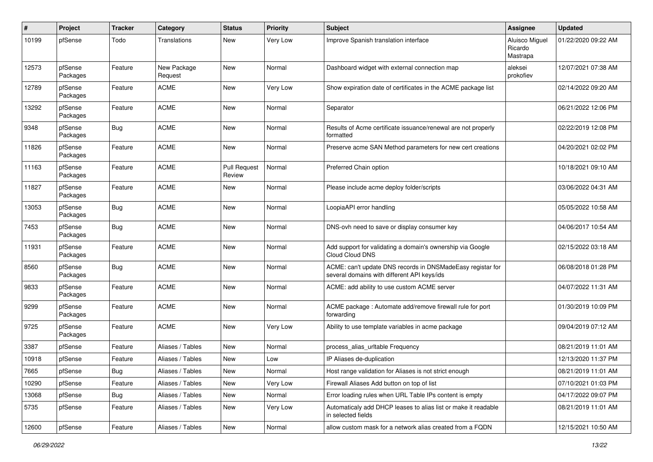| #     | Project             | <b>Tracker</b> | Category               | <b>Status</b>          | <b>Priority</b> | <b>Subject</b>                                                                                            | <b>Assignee</b>                       | <b>Updated</b>      |
|-------|---------------------|----------------|------------------------|------------------------|-----------------|-----------------------------------------------------------------------------------------------------------|---------------------------------------|---------------------|
| 10199 | pfSense             | Todo           | Translations           | New                    | <b>Very Low</b> | Improve Spanish translation interface                                                                     | Aluisco Miguel<br>Ricardo<br>Mastrapa | 01/22/2020 09:22 AM |
| 12573 | pfSense<br>Packages | Feature        | New Package<br>Request | New                    | Normal          | Dashboard widget with external connection map                                                             | aleksei<br>prokofiev                  | 12/07/2021 07:38 AM |
| 12789 | pfSense<br>Packages | Feature        | <b>ACME</b>            | New                    | <b>Very Low</b> | Show expiration date of certificates in the ACME package list                                             |                                       | 02/14/2022 09:20 AM |
| 13292 | pfSense<br>Packages | Feature        | <b>ACME</b>            | New                    | Normal          | Separator                                                                                                 |                                       | 06/21/2022 12:06 PM |
| 9348  | pfSense<br>Packages | Bug            | <b>ACME</b>            | New                    | Normal          | Results of Acme certificate issuance/renewal are not properly<br>formatted                                |                                       | 02/22/2019 12:08 PM |
| 11826 | pfSense<br>Packages | Feature        | <b>ACME</b>            | New                    | Normal          | Preserve acme SAN Method parameters for new cert creations                                                |                                       | 04/20/2021 02:02 PM |
| 11163 | pfSense<br>Packages | Feature        | <b>ACME</b>            | Pull Request<br>Review | Normal          | Preferred Chain option                                                                                    |                                       | 10/18/2021 09:10 AM |
| 11827 | pfSense<br>Packages | Feature        | <b>ACME</b>            | <b>New</b>             | Normal          | Please include acme deploy folder/scripts                                                                 |                                       | 03/06/2022 04:31 AM |
| 13053 | pfSense<br>Packages | <b>Bug</b>     | <b>ACME</b>            | New                    | Normal          | LoopiaAPI error handling                                                                                  |                                       | 05/05/2022 10:58 AM |
| 7453  | pfSense<br>Packages | Bug            | <b>ACME</b>            | New                    | Normal          | DNS-ovh need to save or display consumer key                                                              |                                       | 04/06/2017 10:54 AM |
| 11931 | pfSense<br>Packages | Feature        | <b>ACME</b>            | New                    | Normal          | Add support for validating a domain's ownership via Google<br>Cloud Cloud DNS                             |                                       | 02/15/2022 03:18 AM |
| 8560  | pfSense<br>Packages | <b>Bug</b>     | <b>ACME</b>            | <b>New</b>             | Normal          | ACME: can't update DNS records in DNSMadeEasy registar for<br>several domains with different API keys/ids |                                       | 06/08/2018 01:28 PM |
| 9833  | pfSense<br>Packages | Feature        | <b>ACME</b>            | <b>New</b>             | Normal          | ACME: add ability to use custom ACME server                                                               |                                       | 04/07/2022 11:31 AM |
| 9299  | pfSense<br>Packages | Feature        | <b>ACME</b>            | New                    | Normal          | ACME package : Automate add/remove firewall rule for port<br>forwarding                                   |                                       | 01/30/2019 10:09 PM |
| 9725  | pfSense<br>Packages | Feature        | <b>ACME</b>            | New                    | <b>Very Low</b> | Ability to use template variables in acme package                                                         |                                       | 09/04/2019 07:12 AM |
| 3387  | pfSense             | Feature        | Aliases / Tables       | <b>New</b>             | Normal          | process_alias_urItable Frequency                                                                          |                                       | 08/21/2019 11:01 AM |
| 10918 | pfSense             | Feature        | Aliases / Tables       | New                    | Low             | IP Aliases de-duplication                                                                                 |                                       | 12/13/2020 11:37 PM |
| 7665  | pfSense             | <b>Bug</b>     | Aliases / Tables       | New                    | Normal          | Host range validation for Aliases is not strict enough                                                    |                                       | 08/21/2019 11:01 AM |
| 10290 | pfSense             | Feature        | Aliases / Tables       | New                    | Very Low        | Firewall Aliases Add button on top of list                                                                |                                       | 07/10/2021 01:03 PM |
| 13068 | pfSense             | Bug            | Aliases / Tables       | New                    | Normal          | Error loading rules when URL Table IPs content is empty                                                   |                                       | 04/17/2022 09:07 PM |
| 5735  | pfSense             | Feature        | Aliases / Tables       | New                    | Very Low        | Automaticaly add DHCP leases to alias list or make it readable<br>in selected fields                      |                                       | 08/21/2019 11:01 AM |
| 12600 | pfSense             | Feature        | Aliases / Tables       | New                    | Normal          | allow custom mask for a network alias created from a FQDN                                                 |                                       | 12/15/2021 10:50 AM |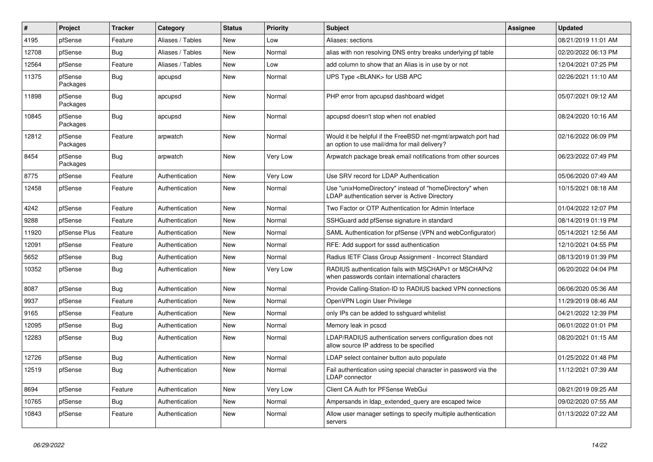| #     | Project             | <b>Tracker</b> | Category         | <b>Status</b> | <b>Priority</b> | <b>Subject</b>                                                                                                | Assignee | <b>Updated</b>      |
|-------|---------------------|----------------|------------------|---------------|-----------------|---------------------------------------------------------------------------------------------------------------|----------|---------------------|
| 4195  | pfSense             | Feature        | Aliases / Tables | <b>New</b>    | Low             | Aliases: sections                                                                                             |          | 08/21/2019 11:01 AM |
| 12708 | pfSense             | <b>Bug</b>     | Aliases / Tables | <b>New</b>    | Normal          | alias with non resolving DNS entry breaks underlying pf table                                                 |          | 02/20/2022 06:13 PM |
| 12564 | pfSense             | Feature        | Aliases / Tables | <b>New</b>    | Low             | add column to show that an Alias is in use by or not                                                          |          | 12/04/2021 07:25 PM |
| 11375 | pfSense<br>Packages | <b>Bug</b>     | apcupsd          | <b>New</b>    | Normal          | UPS Type <blank> for USB APC</blank>                                                                          |          | 02/26/2021 11:10 AM |
| 11898 | pfSense<br>Packages | Bug            | apcupsd          | <b>New</b>    | Normal          | PHP error from apcupsd dashboard widget                                                                       |          | 05/07/2021 09:12 AM |
| 10845 | pfSense<br>Packages | Bug            | apcupsd          | <b>New</b>    | Normal          | apcupsd doesn't stop when not enabled                                                                         |          | 08/24/2020 10:16 AM |
| 12812 | pfSense<br>Packages | Feature        | arpwatch         | New           | Normal          | Would it be helpful if the FreeBSD net-mgmt/arpwatch port had<br>an option to use mail/dma for mail delivery? |          | 02/16/2022 06:09 PM |
| 8454  | pfSense<br>Packages | Bug            | arpwatch         | <b>New</b>    | Very Low        | Arpwatch package break email notifications from other sources                                                 |          | 06/23/2022 07:49 PM |
| 8775  | pfSense             | Feature        | Authentication   | New           | Very Low        | Use SRV record for LDAP Authentication                                                                        |          | 05/06/2020 07:49 AM |
| 12458 | pfSense             | Feature        | Authentication   | New           | Normal          | Use "unixHomeDirectory" instead of "homeDirectory" when<br>LDAP authentication server is Active Directory     |          | 10/15/2021 08:18 AM |
| 4242  | pfSense             | Feature        | Authentication   | <b>New</b>    | Normal          | Two Factor or OTP Authentication for Admin Interface                                                          |          | 01/04/2022 12:07 PM |
| 9288  | pfSense             | Feature        | Authentication   | New           | Normal          | SSHGuard add pfSense signature in standard                                                                    |          | 08/14/2019 01:19 PM |
| 11920 | pfSense Plus        | Feature        | Authentication   | New           | Normal          | SAML Authentication for pfSense (VPN and webConfigurator)                                                     |          | 05/14/2021 12:56 AM |
| 12091 | pfSense             | Feature        | Authentication   | New           | Normal          | RFE: Add support for sssd authentication                                                                      |          | 12/10/2021 04:55 PM |
| 5652  | pfSense             | <b>Bug</b>     | Authentication   | New           | Normal          | Radius IETF Class Group Assignment - Incorrect Standard                                                       |          | 08/13/2019 01:39 PM |
| 10352 | pfSense             | <b>Bug</b>     | Authentication   | New           | <b>Very Low</b> | RADIUS authentication fails with MSCHAPv1 or MSCHAPv2<br>when passwords contain international characters      |          | 06/20/2022 04:04 PM |
| 8087  | pfSense             | Bug            | Authentication   | New           | Normal          | Provide Calling-Station-ID to RADIUS backed VPN connections                                                   |          | 06/06/2020 05:36 AM |
| 9937  | pfSense             | Feature        | Authentication   | New           | Normal          | OpenVPN Login User Privilege                                                                                  |          | 11/29/2019 08:46 AM |
| 9165  | pfSense             | Feature        | Authentication   | New           | Normal          | only IPs can be added to sshguard whitelist                                                                   |          | 04/21/2022 12:39 PM |
| 12095 | pfSense             | Bug            | Authentication   | New           | Normal          | Memory leak in pcscd                                                                                          |          | 06/01/2022 01:01 PM |
| 12283 | pfSense             | Bug            | Authentication   | New           | Normal          | LDAP/RADIUS authentication servers configuration does not<br>allow source IP address to be specified          |          | 08/20/2021 01:15 AM |
| 12726 | pfSense             | <b>Bug</b>     | Authentication   | <b>New</b>    | Normal          | LDAP select container button auto populate                                                                    |          | 01/25/2022 01:48 PM |
| 12519 | pfSense             | Bug            | Authentication   | New           | Normal          | Fail authentication using special character in password via the<br>LDAP connector                             |          | 11/12/2021 07:39 AM |
| 8694  | pfSense             | Feature        | Authentication   | <b>New</b>    | <b>Very Low</b> | Client CA Auth for PFSense WebGui                                                                             |          | 08/21/2019 09:25 AM |
| 10765 | pfSense             | Bug            | Authentication   | New           | Normal          | Ampersands in Idap extended query are escaped twice                                                           |          | 09/02/2020 07:55 AM |
| 10843 | pfSense             | Feature        | Authentication   | New           | Normal          | Allow user manager settings to specify multiple authentication<br>servers                                     |          | 01/13/2022 07:22 AM |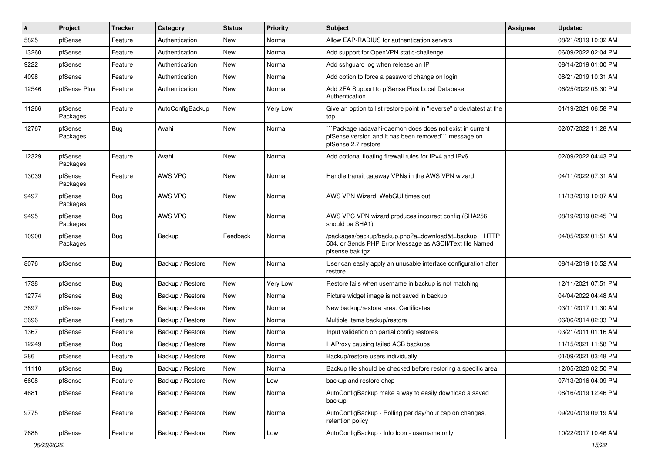| #     | Project             | Tracker    | Category         | <b>Status</b> | <b>Priority</b> | <b>Subject</b>                                                                                                                                | Assignee | <b>Updated</b>      |
|-------|---------------------|------------|------------------|---------------|-----------------|-----------------------------------------------------------------------------------------------------------------------------------------------|----------|---------------------|
| 5825  | pfSense             | Feature    | Authentication   | New           | Normal          | Allow EAP-RADIUS for authentication servers                                                                                                   |          | 08/21/2019 10:32 AM |
| 13260 | pfSense             | Feature    | Authentication   | <b>New</b>    | Normal          | Add support for OpenVPN static-challenge                                                                                                      |          | 06/09/2022 02:04 PM |
| 9222  | pfSense             | Feature    | Authentication   | New           | Normal          | Add sshguard log when release an IP                                                                                                           |          | 08/14/2019 01:00 PM |
| 4098  | pfSense             | Feature    | Authentication   | New           | Normal          | Add option to force a password change on login                                                                                                |          | 08/21/2019 10:31 AM |
| 12546 | pfSense Plus        | Feature    | Authentication   | New           | Normal          | Add 2FA Support to pfSense Plus Local Database<br>Authentication                                                                              |          | 06/25/2022 05:30 PM |
| 11266 | pfSense<br>Packages | Feature    | AutoConfigBackup | New           | Very Low        | Give an option to list restore point in "reverse" order/latest at the<br>top.                                                                 |          | 01/19/2021 06:58 PM |
| 12767 | pfSense<br>Packages | <b>Bug</b> | Avahi            | New           | Normal          | `Package radavahi-daemon does does not exist in current<br>pfSense version and it has been removed"" message on<br>pfSense 2.7 restore        |          | 02/07/2022 11:28 AM |
| 12329 | pfSense<br>Packages | Feature    | Avahi            | New           | Normal          | Add optional floating firewall rules for IPv4 and IPv6                                                                                        |          | 02/09/2022 04:43 PM |
| 13039 | pfSense<br>Packages | Feature    | <b>AWS VPC</b>   | New           | Normal          | Handle transit gateway VPNs in the AWS VPN wizard                                                                                             |          | 04/11/2022 07:31 AM |
| 9497  | pfSense<br>Packages | <b>Bug</b> | AWS VPC          | New           | Normal          | AWS VPN Wizard: WebGUI times out.                                                                                                             |          | 11/13/2019 10:07 AM |
| 9495  | pfSense<br>Packages | <b>Bug</b> | AWS VPC          | New           | Normal          | AWS VPC VPN wizard produces incorrect config (SHA256<br>should be SHA1)                                                                       |          | 08/19/2019 02:45 PM |
| 10900 | pfSense<br>Packages | Bug        | Backup           | Feedback      | Normal          | /packages/backup/backup.php?a=download&t=backup<br><b>HTTP</b><br>504, or Sends PHP Error Message as ASCII/Text file Named<br>pfsense.bak.tgz |          | 04/05/2022 01:51 AM |
| 8076  | pfSense             | Bug        | Backup / Restore | New           | Normal          | User can easily apply an unusable interface configuration after<br>restore                                                                    |          | 08/14/2019 10:52 AM |
| 1738  | pfSense             | Bug        | Backup / Restore | New           | Very Low        | Restore fails when username in backup is not matching                                                                                         |          | 12/11/2021 07:51 PM |
| 12774 | pfSense             | <b>Bug</b> | Backup / Restore | <b>New</b>    | Normal          | Picture widget image is not saved in backup                                                                                                   |          | 04/04/2022 04:48 AM |
| 3697  | pfSense             | Feature    | Backup / Restore | New           | Normal          | New backup/restore area: Certificates                                                                                                         |          | 03/11/2017 11:30 AM |
| 3696  | pfSense             | Feature    | Backup / Restore | New           | Normal          | Multiple items backup/restore                                                                                                                 |          | 06/06/2014 02:33 PM |
| 1367  | pfSense             | Feature    | Backup / Restore | New           | Normal          | Input validation on partial config restores                                                                                                   |          | 03/21/2011 01:16 AM |
| 12249 | pfSense             | <b>Bug</b> | Backup / Restore | <b>New</b>    | Normal          | HAProxy causing failed ACB backups                                                                                                            |          | 11/15/2021 11:58 PM |
| 286   | pfSense             | Feature    | Backup / Restore | New           | Normal          | Backup/restore users individually                                                                                                             |          | 01/09/2021 03:48 PM |
| 11110 | pfSense             | Bug        | Backup / Restore | New           | Normal          | Backup file should be checked before restoring a specific area                                                                                |          | 12/05/2020 02:50 PM |
| 6608  | pfSense             | Feature    | Backup / Restore | New           | Low             | backup and restore dhcp                                                                                                                       |          | 07/13/2016 04:09 PM |
| 4681  | pfSense             | Feature    | Backup / Restore | New           | Normal          | AutoConfigBackup make a way to easily download a saved<br>backup                                                                              |          | 08/16/2019 12:46 PM |
| 9775  | pfSense             | Feature    | Backup / Restore | New           | Normal          | AutoConfigBackup - Rolling per day/hour cap on changes,<br>retention policy                                                                   |          | 09/20/2019 09:19 AM |
| 7688  | pfSense             | Feature    | Backup / Restore | New           | Low             | AutoConfigBackup - Info Icon - username only                                                                                                  |          | 10/22/2017 10:46 AM |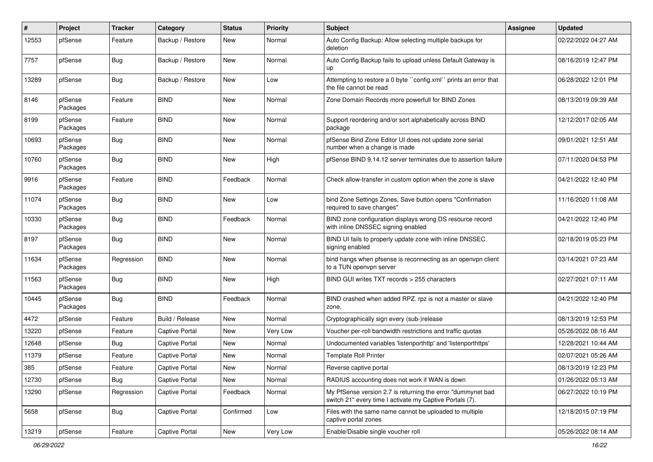| #     | Project             | <b>Tracker</b> | Category              | <b>Status</b> | <b>Priority</b> | <b>Subject</b>                                                                                                          | <b>Assignee</b> | <b>Updated</b>      |
|-------|---------------------|----------------|-----------------------|---------------|-----------------|-------------------------------------------------------------------------------------------------------------------------|-----------------|---------------------|
| 12553 | pfSense             | Feature        | Backup / Restore      | New           | Normal          | Auto Config Backup: Allow selecting multiple backups for<br>deletion                                                    |                 | 02/22/2022 04:27 AM |
| 7757  | pfSense             | Bug            | Backup / Restore      | New           | Normal          | Auto Config Backup fails to upload unless Default Gateway is<br>up                                                      |                 | 08/16/2019 12:47 PM |
| 13289 | pfSense             | Bug            | Backup / Restore      | New           | Low             | Attempting to restore a 0 byte "config.xml" prints an error that<br>the file cannot be read                             |                 | 06/28/2022 12:01 PM |
| 8146  | pfSense<br>Packages | Feature        | <b>BIND</b>           | New           | Normal          | Zone Domain Records more powerfull for BIND Zones                                                                       |                 | 08/13/2019 09:39 AM |
| 8199  | pfSense<br>Packages | Feature        | <b>BIND</b>           | New           | Normal          | Support reordering and/or sort alphabetically across BIND<br>package                                                    |                 | 12/12/2017 02:05 AM |
| 10693 | pfSense<br>Packages | <b>Bug</b>     | <b>BIND</b>           | New           | Normal          | pfSense Bind Zone Editor UI does not update zone serial<br>number when a change is made                                 |                 | 09/01/2021 12:51 AM |
| 10760 | pfSense<br>Packages | <b>Bug</b>     | <b>BIND</b>           | <b>New</b>    | High            | pfSense BIND 9.14.12 server terminates due to assertion failure                                                         |                 | 07/11/2020 04:53 PM |
| 9916  | pfSense<br>Packages | Feature        | <b>BIND</b>           | Feedback      | Normal          | Check allow-transfer in custom option when the zone is slave                                                            |                 | 04/21/2022 12:40 PM |
| 11074 | pfSense<br>Packages | <b>Bug</b>     | <b>BIND</b>           | New           | Low             | bind Zone Settings Zones, Save button opens "Confirmation<br>required to save changes"                                  |                 | 11/16/2020 11:08 AM |
| 10330 | pfSense<br>Packages | <b>Bug</b>     | <b>BIND</b>           | Feedback      | Normal          | BIND zone configuration displays wrong DS resource record<br>with inline DNSSEC signing enabled                         |                 | 04/21/2022 12:40 PM |
| 8197  | pfSense<br>Packages | Bug            | <b>BIND</b>           | <b>New</b>    | Normal          | BIND UI fails to properly update zone with inline DNSSEC<br>signing enabled                                             |                 | 02/18/2019 05:23 PM |
| 11634 | pfSense<br>Packages | Regression     | <b>BIND</b>           | New           | Normal          | bind hangs when pfsense is reconnecting as an openvpn client<br>to a TUN openvpn server                                 |                 | 03/14/2021 07:23 AM |
| 11563 | pfSense<br>Packages | Bug            | <b>BIND</b>           | New           | High            | BIND GUI writes TXT records > 255 characters                                                                            |                 | 02/27/2021 07:11 AM |
| 10445 | pfSense<br>Packages | <b>Bug</b>     | <b>BIND</b>           | Feedback      | Normal          | BIND crashed when added RPZ. rpz is not a master or slave<br>zone.                                                      |                 | 04/21/2022 12:40 PM |
| 4472  | pfSense             | Feature        | Build / Release       | <b>New</b>    | Normal          | Cryptographically sign every (sub-)release                                                                              |                 | 08/13/2019 12:53 PM |
| 13220 | pfSense             | Feature        | <b>Captive Portal</b> | <b>New</b>    | Very Low        | Voucher per-roll bandwidth restrictions and traffic quotas                                                              |                 | 05/26/2022 08:16 AM |
| 12648 | pfSense             | <b>Bug</b>     | Captive Portal        | New           | Normal          | Undocumented variables 'listenporthttp' and 'listenporthttps'                                                           |                 | 12/28/2021 10:44 AM |
| 11379 | pfSense             | Feature        | <b>Captive Portal</b> | <b>New</b>    | Normal          | <b>Template Roll Printer</b>                                                                                            |                 | 02/07/2021 05:26 AM |
| 385   | pfSense             | Feature        | Captive Portal        | New           | Normal          | Reverse captive portal                                                                                                  |                 | 08/13/2019 12:23 PM |
| 12730 | pfSense             | Bug            | Captive Portal        | New           | Normal          | RADIUS accounting does not work if WAN is down                                                                          |                 | 01/26/2022 05:13 AM |
| 13290 | pfSense             | Regression     | <b>Captive Portal</b> | Feedback      | Normal          | My PfSense version 2.7 is returning the error "dummynet bad<br>switch 21" every time I activate my Captive Portals (7). |                 | 06/27/2022 10:19 PM |
| 5658  | pfSense             | <b>Bug</b>     | <b>Captive Portal</b> | Confirmed     | Low             | Files with the same name cannot be uploaded to multiple<br>captive portal zones                                         |                 | 12/18/2015 07:19 PM |
| 13219 | pfSense             | Feature        | <b>Captive Portal</b> | New           | Very Low        | Enable/Disable single voucher roll                                                                                      |                 | 05/26/2022 08:14 AM |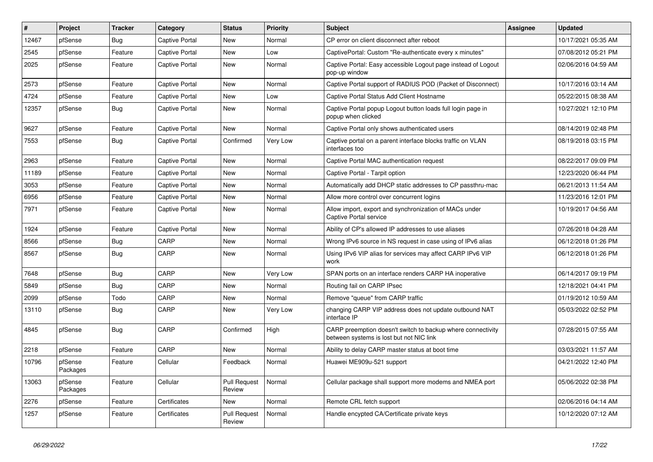| #     | Project             | <b>Tracker</b> | Category              | <b>Status</b>                 | Priority | <b>Subject</b>                                                                                          | <b>Assignee</b> | <b>Updated</b>      |
|-------|---------------------|----------------|-----------------------|-------------------------------|----------|---------------------------------------------------------------------------------------------------------|-----------------|---------------------|
| 12467 | pfSense             | <b>Bug</b>     | Captive Portal        | New                           | Normal   | CP error on client disconnect after reboot                                                              |                 | 10/17/2021 05:35 AM |
| 2545  | pfSense             | Feature        | <b>Captive Portal</b> | New                           | Low      | CaptivePortal: Custom "Re-authenticate every x minutes"                                                 |                 | 07/08/2012 05:21 PM |
| 2025  | pfSense             | Feature        | <b>Captive Portal</b> | New                           | Normal   | Captive Portal: Easy accessible Logout page instead of Logout<br>pop-up window                          |                 | 02/06/2016 04:59 AM |
| 2573  | pfSense             | Feature        | <b>Captive Portal</b> | <b>New</b>                    | Normal   | Captive Portal support of RADIUS POD (Packet of Disconnect)                                             |                 | 10/17/2016 03:14 AM |
| 4724  | pfSense             | Feature        | Captive Portal        | New                           | Low      | Captive Portal Status Add Client Hostname                                                               |                 | 05/22/2015 08:38 AM |
| 12357 | pfSense             | <b>Bug</b>     | <b>Captive Portal</b> | New                           | Normal   | Captive Portal popup Logout button loads full login page in<br>popup when clicked                       |                 | 10/27/2021 12:10 PM |
| 9627  | pfSense             | Feature        | Captive Portal        | New                           | Normal   | Captive Portal only shows authenticated users                                                           |                 | 08/14/2019 02:48 PM |
| 7553  | pfSense             | <b>Bug</b>     | <b>Captive Portal</b> | Confirmed                     | Very Low | Captive portal on a parent interface blocks traffic on VLAN<br>interfaces too                           |                 | 08/19/2018 03:15 PM |
| 2963  | pfSense             | Feature        | <b>Captive Portal</b> | New                           | Normal   | Captive Portal MAC authentication request                                                               |                 | 08/22/2017 09:09 PM |
| 11189 | pfSense             | Feature        | <b>Captive Portal</b> | <b>New</b>                    | Normal   | Captive Portal - Tarpit option                                                                          |                 | 12/23/2020 06:44 PM |
| 3053  | pfSense             | Feature        | <b>Captive Portal</b> | New                           | Normal   | Automatically add DHCP static addresses to CP passthru-mac                                              |                 | 06/21/2013 11:54 AM |
| 6956  | pfSense             | Feature        | <b>Captive Portal</b> | New                           | Normal   | Allow more control over concurrent logins                                                               |                 | 11/23/2016 12:01 PM |
| 7971  | pfSense             | Feature        | Captive Portal        | New                           | Normal   | Allow import, export and synchronization of MACs under<br>Captive Portal service                        |                 | 10/19/2017 04:56 AM |
| 1924  | pfSense             | Feature        | <b>Captive Portal</b> | New                           | Normal   | Ability of CP's allowed IP addresses to use aliases                                                     |                 | 07/26/2018 04:28 AM |
| 8566  | pfSense             | <b>Bug</b>     | CARP                  | New                           | Normal   | Wrong IPv6 source in NS request in case using of IPv6 alias                                             |                 | 06/12/2018 01:26 PM |
| 8567  | pfSense             | <b>Bug</b>     | CARP                  | New                           | Normal   | Using IPv6 VIP alias for services may affect CARP IPv6 VIP<br>work                                      |                 | 06/12/2018 01:26 PM |
| 7648  | pfSense             | <b>Bug</b>     | CARP                  | New                           | Very Low | SPAN ports on an interface renders CARP HA inoperative                                                  |                 | 06/14/2017 09:19 PM |
| 5849  | pfSense             | <b>Bug</b>     | CARP                  | New                           | Normal   | Routing fail on CARP IPsec                                                                              |                 | 12/18/2021 04:41 PM |
| 2099  | pfSense             | Todo           | CARP                  | New                           | Normal   | Remove "queue" from CARP traffic                                                                        |                 | 01/19/2012 10:59 AM |
| 13110 | pfSense             | <b>Bug</b>     | CARP                  | New                           | Very Low | changing CARP VIP address does not update outbound NAT<br>interface IP                                  |                 | 05/03/2022 02:52 PM |
| 4845  | pfSense             | Bug            | CARP                  | Confirmed                     | High     | CARP preemption doesn't switch to backup where connectivity<br>between systems is lost but not NIC link |                 | 07/28/2015 07:55 AM |
| 2218  | pfSense             | Feature        | CARP                  | New                           | Normal   | Ability to delay CARP master status at boot time                                                        |                 | 03/03/2021 11:57 AM |
| 10796 | pfSense<br>Packages | Feature        | Cellular              | Feedback                      | Normal   | Huawei ME909u-521 support                                                                               |                 | 04/21/2022 12:40 PM |
| 13063 | pfSense<br>Packages | Feature        | Cellular              | <b>Pull Request</b><br>Review | Normal   | Cellular package shall support more modems and NMEA port                                                |                 | 05/06/2022 02:38 PM |
| 2276  | pfSense             | Feature        | Certificates          | New                           | Normal   | Remote CRL fetch support                                                                                |                 | 02/06/2016 04:14 AM |
| 1257  | pfSense             | Feature        | Certificates          | <b>Pull Request</b><br>Review | Normal   | Handle encypted CA/Certificate private keys                                                             |                 | 10/12/2020 07:12 AM |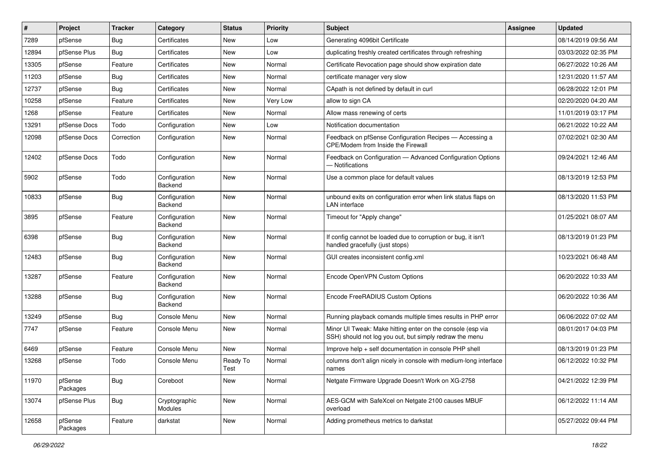| #     | Project             | <b>Tracker</b> | Category                        | <b>Status</b>    | <b>Priority</b> | <b>Subject</b>                                                                                                        | <b>Assignee</b> | <b>Updated</b>      |
|-------|---------------------|----------------|---------------------------------|------------------|-----------------|-----------------------------------------------------------------------------------------------------------------------|-----------------|---------------------|
| 7289  | pfSense             | <b>Bug</b>     | Certificates                    | New              | Low             | Generating 4096bit Certificate                                                                                        |                 | 08/14/2019 09:56 AM |
| 12894 | pfSense Plus        | <b>Bug</b>     | Certificates                    | New              | Low             | duplicating freshly created certificates through refreshing                                                           |                 | 03/03/2022 02:35 PM |
| 13305 | pfSense             | Feature        | Certificates                    | New              | Normal          | Certificate Revocation page should show expiration date                                                               |                 | 06/27/2022 10:26 AM |
| 11203 | pfSense             | <b>Bug</b>     | Certificates                    | New              | Normal          | certificate manager very slow                                                                                         |                 | 12/31/2020 11:57 AM |
| 12737 | pfSense             | Bug            | Certificates                    | <b>New</b>       | Normal          | CApath is not defined by default in curl                                                                              |                 | 06/28/2022 12:01 PM |
| 10258 | pfSense             | Feature        | Certificates                    | New              | Very Low        | allow to sign CA                                                                                                      |                 | 02/20/2020 04:20 AM |
| 1268  | pfSense             | Feature        | Certificates                    | New              | Normal          | Allow mass renewing of certs                                                                                          |                 | 11/01/2019 03:17 PM |
| 13291 | pfSense Docs        | Todo           | Configuration                   | New              | Low             | Notification documentation                                                                                            |                 | 06/21/2022 10:22 AM |
| 12098 | pfSense Docs        | Correction     | Configuration                   | New              | Normal          | Feedback on pfSense Configuration Recipes - Accessing a<br>CPE/Modem from Inside the Firewall                         |                 | 07/02/2021 02:30 AM |
| 12402 | pfSense Docs        | Todo           | Configuration                   | New              | Normal          | Feedback on Configuration - Advanced Configuration Options<br>- Notifications                                         |                 | 09/24/2021 12:46 AM |
| 5902  | pfSense             | Todo           | Configuration<br>Backend        | New              | Normal          | Use a common place for default values                                                                                 |                 | 08/13/2019 12:53 PM |
| 10833 | pfSense             | <b>Bug</b>     | Configuration<br>Backend        | <b>New</b>       | Normal          | unbound exits on configuration error when link status flaps on<br>LAN interface                                       |                 | 08/13/2020 11:53 PM |
| 3895  | pfSense             | Feature        | Configuration<br><b>Backend</b> | <b>New</b>       | Normal          | Timeout for "Apply change"                                                                                            |                 | 01/25/2021 08:07 AM |
| 6398  | pfSense             | <b>Bug</b>     | Configuration<br>Backend        | New              | Normal          | If config cannot be loaded due to corruption or bug, it isn't<br>handled gracefully (just stops)                      |                 | 08/13/2019 01:23 PM |
| 12483 | pfSense             | <b>Bug</b>     | Configuration<br>Backend        | New              | Normal          | GUI creates inconsistent config.xml                                                                                   |                 | 10/23/2021 06:48 AM |
| 13287 | pfSense             | Feature        | Configuration<br>Backend        | New              | Normal          | Encode OpenVPN Custom Options                                                                                         |                 | 06/20/2022 10:33 AM |
| 13288 | pfSense             | Bug            | Configuration<br>Backend        | New              | Normal          | Encode FreeRADIUS Custom Options                                                                                      |                 | 06/20/2022 10:36 AM |
| 13249 | pfSense             | <b>Bug</b>     | Console Menu                    | New              | Normal          | Running playback comands multiple times results in PHP error                                                          |                 | 06/06/2022 07:02 AM |
| 7747  | pfSense             | Feature        | Console Menu                    | New              | Normal          | Minor UI Tweak: Make hitting enter on the console (esp via<br>SSH) should not log you out, but simply redraw the menu |                 | 08/01/2017 04:03 PM |
| 6469  | pfSense             | Feature        | Console Menu                    | <b>New</b>       | Normal          | Improve help + self documentation in console PHP shell                                                                |                 | 08/13/2019 01:23 PM |
| 13268 | pfSense             | Todo           | Console Menu                    | Ready To<br>Test | Normal          | columns don't align nicely in console with medium-long interface<br>names                                             |                 | 06/12/2022 10:32 PM |
| 11970 | pfSense<br>Packages | Bug            | Coreboot                        | New              | Normal          | Netgate Firmware Upgrade Doesn't Work on XG-2758                                                                      |                 | 04/21/2022 12:39 PM |
| 13074 | pfSense Plus        | <b>Bug</b>     | Cryptographic<br>Modules        | New              | Normal          | AES-GCM with SafeXcel on Netgate 2100 causes MBUF<br>overload                                                         |                 | 06/12/2022 11:14 AM |
| 12658 | pfSense<br>Packages | Feature        | darkstat                        | New              | Normal          | Adding prometheus metrics to darkstat                                                                                 |                 | 05/27/2022 09:44 PM |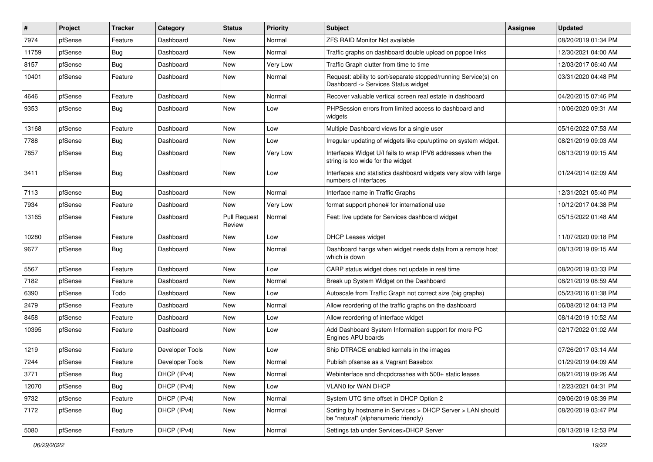| #     | Project | <b>Tracker</b> | Category        | <b>Status</b>                 | <b>Priority</b> | Subject                                                                                                | <b>Assignee</b> | <b>Updated</b>      |
|-------|---------|----------------|-----------------|-------------------------------|-----------------|--------------------------------------------------------------------------------------------------------|-----------------|---------------------|
| 7974  | pfSense | Feature        | Dashboard       | New                           | Normal          | <b>ZFS RAID Monitor Not available</b>                                                                  |                 | 08/20/2019 01:34 PM |
| 11759 | pfSense | <b>Bug</b>     | Dashboard       | <b>New</b>                    | Normal          | Traffic graphs on dashboard double upload on pppoe links                                               |                 | 12/30/2021 04:00 AM |
| 8157  | pfSense | Bug            | Dashboard       | New                           | Very Low        | Traffic Graph clutter from time to time                                                                |                 | 12/03/2017 06:40 AM |
| 10401 | pfSense | Feature        | Dashboard       | New                           | Normal          | Request: ability to sort/separate stopped/running Service(s) on<br>Dashboard -> Services Status widget |                 | 03/31/2020 04:48 PM |
| 4646  | pfSense | Feature        | Dashboard       | <b>New</b>                    | Normal          | Recover valuable vertical screen real estate in dashboard                                              |                 | 04/20/2015 07:46 PM |
| 9353  | pfSense | <b>Bug</b>     | Dashboard       | New                           | Low             | PHPSession errors from limited access to dashboard and<br>widgets                                      |                 | 10/06/2020 09:31 AM |
| 13168 | pfSense | Feature        | Dashboard       | New                           | Low             | Multiple Dashboard views for a single user                                                             |                 | 05/16/2022 07:53 AM |
| 7788  | pfSense | <b>Bug</b>     | Dashboard       | <b>New</b>                    | Low             | Irregular updating of widgets like cpu/uptime on system widget.                                        |                 | 08/21/2019 09:03 AM |
| 7857  | pfSense | Bug            | Dashboard       | New                           | Very Low        | Interfaces Widget U/I fails to wrap IPV6 addresses when the<br>string is too wide for the widget       |                 | 08/13/2019 09:15 AM |
| 3411  | pfSense | Bug            | Dashboard       | <b>New</b>                    | Low             | Interfaces and statistics dashboard widgets very slow with large<br>numbers of interfaces              |                 | 01/24/2014 02:09 AM |
| 7113  | pfSense | Bug            | Dashboard       | New                           | Normal          | Interface name in Traffic Graphs                                                                       |                 | 12/31/2021 05:40 PM |
| 7934  | pfSense | Feature        | Dashboard       | <b>New</b>                    | Very Low        | format support phone# for international use                                                            |                 | 10/12/2017 04:38 PM |
| 13165 | pfSense | Feature        | Dashboard       | <b>Pull Request</b><br>Review | Normal          | Feat: live update for Services dashboard widget                                                        |                 | 05/15/2022 01:48 AM |
| 10280 | pfSense | Feature        | Dashboard       | <b>New</b>                    | Low             | <b>DHCP Leases widget</b>                                                                              |                 | 11/07/2020 09:18 PM |
| 9677  | pfSense | Bug            | Dashboard       | New                           | Normal          | Dashboard hangs when widget needs data from a remote host<br>which is down                             |                 | 08/13/2019 09:15 AM |
| 5567  | pfSense | Feature        | Dashboard       | New                           | Low             | CARP status widget does not update in real time                                                        |                 | 08/20/2019 03:33 PM |
| 7182  | pfSense | Feature        | Dashboard       | New                           | Normal          | Break up System Widget on the Dashboard                                                                |                 | 08/21/2019 08:59 AM |
| 6390  | pfSense | Todo           | Dashboard       | <b>New</b>                    | Low             | Autoscale from Traffic Graph not correct size (big graphs)                                             |                 | 05/23/2016 01:38 PM |
| 2479  | pfSense | Feature        | Dashboard       | New                           | Normal          | Allow reordering of the traffic graphs on the dashboard                                                |                 | 06/08/2012 04:13 PM |
| 8458  | pfSense | Feature        | Dashboard       | New                           | Low             | Allow reordering of interface widget                                                                   |                 | 08/14/2019 10:52 AM |
| 10395 | pfSense | Feature        | Dashboard       | New                           | Low             | Add Dashboard System Information support for more PC<br>Engines APU boards                             |                 | 02/17/2022 01:02 AM |
| 1219  | pfSense | Feature        | Developer Tools | <b>New</b>                    | Low             | Ship DTRACE enabled kernels in the images                                                              |                 | 07/26/2017 03:14 AM |
| 7244  | pfSense | Feature        | Developer Tools | New                           | Normal          | Publish pfsense as a Vagrant Basebox                                                                   |                 | 01/29/2019 04:09 AM |
| 3771  | pfSense | Bug            | DHCP (IPv4)     | New                           | Normal          | Webinterface and dhcpdcrashes with 500+ static leases                                                  |                 | 08/21/2019 09:26 AM |
| 12070 | pfSense | Bug            | DHCP (IPv4)     | <b>New</b>                    | Low             | VLAN0 for WAN DHCP                                                                                     |                 | 12/23/2021 04:31 PM |
| 9732  | pfSense | Feature        | DHCP (IPv4)     | New                           | Normal          | System UTC time offset in DHCP Option 2                                                                |                 | 09/06/2019 08:39 PM |
| 7172  | pfSense | <b>Bug</b>     | DHCP (IPv4)     | New                           | Normal          | Sorting by hostname in Services > DHCP Server > LAN should<br>be "natural" (alphanumeric friendly)     |                 | 08/20/2019 03:47 PM |
| 5080  | pfSense | Feature        | DHCP (IPv4)     | New                           | Normal          | Settings tab under Services>DHCP Server                                                                |                 | 08/13/2019 12:53 PM |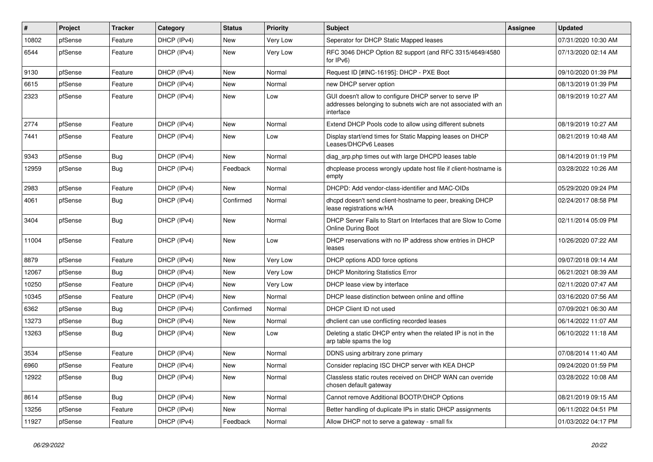| #     | Project | <b>Tracker</b> | Category    | <b>Status</b> | <b>Priority</b> | <b>Subject</b>                                                                                                                        | <b>Assignee</b> | <b>Updated</b>      |
|-------|---------|----------------|-------------|---------------|-----------------|---------------------------------------------------------------------------------------------------------------------------------------|-----------------|---------------------|
| 10802 | pfSense | Feature        | DHCP (IPv4) | New           | Very Low        | Seperator for DHCP Static Mapped leases                                                                                               |                 | 07/31/2020 10:30 AM |
| 6544  | pfSense | Feature        | DHCP (IPv4) | New           | Very Low        | RFC 3046 DHCP Option 82 support (and RFC 3315/4649/4580<br>for IPv6)                                                                  |                 | 07/13/2020 02:14 AM |
| 9130  | pfSense | Feature        | DHCP (IPv4) | New           | Normal          | Request ID [#INC-16195]: DHCP - PXE Boot                                                                                              |                 | 09/10/2020 01:39 PM |
| 6615  | pfSense | Feature        | DHCP (IPv4) | New           | Normal          | new DHCP server option                                                                                                                |                 | 08/13/2019 01:39 PM |
| 2323  | pfSense | Feature        | DHCP (IPv4) | New           | Low             | GUI doesn't allow to configure DHCP server to serve IP<br>addresses belonging to subnets wich are not associated with an<br>interface |                 | 08/19/2019 10:27 AM |
| 2774  | pfSense | Feature        | DHCP (IPv4) | <b>New</b>    | Normal          | Extend DHCP Pools code to allow using different subnets                                                                               |                 | 08/19/2019 10:27 AM |
| 7441  | pfSense | Feature        | DHCP (IPv4) | New           | Low             | Display start/end times for Static Mapping leases on DHCP<br>Leases/DHCPv6 Leases                                                     |                 | 08/21/2019 10:48 AM |
| 9343  | pfSense | <b>Bug</b>     | DHCP (IPv4) | New           | Normal          | diag_arp.php times out with large DHCPD leases table                                                                                  |                 | 08/14/2019 01:19 PM |
| 12959 | pfSense | <b>Bug</b>     | DHCP (IPv4) | Feedback      | Normal          | dhcplease process wrongly update host file if client-hostname is<br>empty                                                             |                 | 03/28/2022 10:26 AM |
| 2983  | pfSense | Feature        | DHCP (IPv4) | New           | Normal          | DHCPD: Add vendor-class-identifier and MAC-OIDs                                                                                       |                 | 05/29/2020 09:24 PM |
| 4061  | pfSense | <b>Bug</b>     | DHCP (IPv4) | Confirmed     | Normal          | dhcpd doesn't send client-hostname to peer, breaking DHCP<br>lease registrations w/HA                                                 |                 | 02/24/2017 08:58 PM |
| 3404  | pfSense | <b>Bug</b>     | DHCP (IPv4) | New           | Normal          | DHCP Server Fails to Start on Interfaces that are Slow to Come<br>Online During Boot                                                  |                 | 02/11/2014 05:09 PM |
| 11004 | pfSense | Feature        | DHCP (IPv4) | New           | Low             | DHCP reservations with no IP address show entries in DHCP<br>leases                                                                   |                 | 10/26/2020 07:22 AM |
| 8879  | pfSense | Feature        | DHCP (IPv4) | <b>New</b>    | Very Low        | DHCP options ADD force options                                                                                                        |                 | 09/07/2018 09:14 AM |
| 12067 | pfSense | <b>Bug</b>     | DHCP (IPv4) | New           | Very Low        | <b>DHCP Monitoring Statistics Error</b>                                                                                               |                 | 06/21/2021 08:39 AM |
| 10250 | pfSense | Feature        | DHCP (IPv4) | New           | Very Low        | DHCP lease view by interface                                                                                                          |                 | 02/11/2020 07:47 AM |
| 10345 | pfSense | Feature        | DHCP (IPv4) | New           | Normal          | DHCP lease distinction between online and offline                                                                                     |                 | 03/16/2020 07:56 AM |
| 6362  | pfSense | <b>Bug</b>     | DHCP (IPv4) | Confirmed     | Normal          | DHCP Client ID not used                                                                                                               |                 | 07/09/2021 06:30 AM |
| 13273 | pfSense | <b>Bug</b>     | DHCP (IPv4) | New           | Normal          | dhclient can use conflicting recorded leases                                                                                          |                 | 06/14/2022 11:07 AM |
| 13263 | pfSense | <b>Bug</b>     | DHCP (IPv4) | New           | Low             | Deleting a static DHCP entry when the related IP is not in the<br>arp table spams the log                                             |                 | 06/10/2022 11:18 AM |
| 3534  | pfSense | Feature        | DHCP (IPv4) | New           | Normal          | DDNS using arbitrary zone primary                                                                                                     |                 | 07/08/2014 11:40 AM |
| 6960  | pfSense | Feature        | DHCP (IPv4) | <b>New</b>    | Normal          | Consider replacing ISC DHCP server with KEA DHCP                                                                                      |                 | 09/24/2020 01:59 PM |
| 12922 | pfSense | <b>Bug</b>     | DHCP (IPv4) | New           | Normal          | Classless static routes received on DHCP WAN can override<br>chosen default gateway                                                   |                 | 03/28/2022 10:08 AM |
| 8614  | pfSense | Bug            | DHCP (IPv4) | New           | Normal          | Cannot remove Additional BOOTP/DHCP Options                                                                                           |                 | 08/21/2019 09:15 AM |
| 13256 | pfSense | Feature        | DHCP (IPv4) | New           | Normal          | Better handling of duplicate IPs in static DHCP assignments                                                                           |                 | 06/11/2022 04:51 PM |
| 11927 | pfSense | Feature        | DHCP (IPv4) | Feedback      | Normal          | Allow DHCP not to serve a gateway - small fix                                                                                         |                 | 01/03/2022 04:17 PM |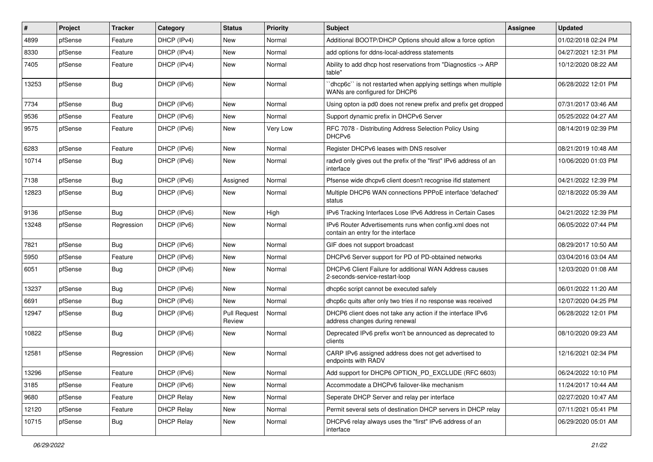| #     | Project | <b>Tracker</b> | Category          | <b>Status</b>                 | <b>Priority</b> | Subject                                                                                         | <b>Assignee</b> | <b>Updated</b>      |
|-------|---------|----------------|-------------------|-------------------------------|-----------------|-------------------------------------------------------------------------------------------------|-----------------|---------------------|
| 4899  | pfSense | Feature        | DHCP (IPv4)       | New                           | Normal          | Additional BOOTP/DHCP Options should allow a force option                                       |                 | 01/02/2018 02:24 PM |
| 8330  | pfSense | Feature        | DHCP (IPv4)       | New                           | Normal          | add options for ddns-local-address statements                                                   |                 | 04/27/2021 12:31 PM |
| 7405  | pfSense | Feature        | DHCP (IPv4)       | New                           | Normal          | Ability to add dhcp host reservations from "Diagnostics -> ARP<br>table"                        |                 | 10/12/2020 08:22 AM |
| 13253 | pfSense | <b>Bug</b>     | DHCP (IPv6)       | New                           | Normal          | 'dhcp6c' is not restarted when applying settings when multiple<br>WANs are configured for DHCP6 |                 | 06/28/2022 12:01 PM |
| 7734  | pfSense | <b>Bug</b>     | DHCP (IPv6)       | New                           | Normal          | Using opton ia pd0 does not renew prefix and prefix get dropped                                 |                 | 07/31/2017 03:46 AM |
| 9536  | pfSense | Feature        | DHCP (IPv6)       | New                           | Normal          | Support dynamic prefix in DHCPv6 Server                                                         |                 | 05/25/2022 04:27 AM |
| 9575  | pfSense | Feature        | DHCP (IPv6)       | New                           | Very Low        | RFC 7078 - Distributing Address Selection Policy Using<br>DHCP <sub>v6</sub>                    |                 | 08/14/2019 02:39 PM |
| 6283  | pfSense | Feature        | DHCP (IPv6)       | New                           | Normal          | Register DHCPv6 leases with DNS resolver                                                        |                 | 08/21/2019 10:48 AM |
| 10714 | pfSense | <b>Bug</b>     | DHCP (IPv6)       | New                           | Normal          | radvd only gives out the prefix of the "first" IPv6 address of an<br>interface                  |                 | 10/06/2020 01:03 PM |
| 7138  | pfSense | <b>Bug</b>     | DHCP (IPv6)       | Assigned                      | Normal          | Pfsense wide dhcpv6 client doesn't recognise if id statement                                    |                 | 04/21/2022 12:39 PM |
| 12823 | pfSense | <b>Bug</b>     | DHCP (IPv6)       | New                           | Normal          | Multiple DHCP6 WAN connections PPPoE interface 'defached'<br>status                             |                 | 02/18/2022 05:39 AM |
| 9136  | pfSense | Bug            | DHCP (IPv6)       | New                           | High            | IPv6 Tracking Interfaces Lose IPv6 Address in Certain Cases                                     |                 | 04/21/2022 12:39 PM |
| 13248 | pfSense | Regression     | DHCP (IPv6)       | New                           | Normal          | IPv6 Router Advertisements runs when config.xml does not<br>contain an entry for the interface  |                 | 06/05/2022 07:44 PM |
| 7821  | pfSense | <b>Bug</b>     | DHCP (IPv6)       | New                           | Normal          | GIF does not support broadcast                                                                  |                 | 08/29/2017 10:50 AM |
| 5950  | pfSense | Feature        | DHCP (IPv6)       | New                           | Normal          | DHCPv6 Server support for PD of PD-obtained networks                                            |                 | 03/04/2016 03:04 AM |
| 6051  | pfSense | <b>Bug</b>     | DHCP (IPv6)       | New                           | Normal          | DHCPv6 Client Failure for additional WAN Address causes<br>2-seconds-service-restart-loop       |                 | 12/03/2020 01:08 AM |
| 13237 | pfSense | <b>Bug</b>     | DHCP (IPv6)       | New                           | Normal          | dhcp6c script cannot be executed safely                                                         |                 | 06/01/2022 11:20 AM |
| 6691  | pfSense | <b>Bug</b>     | DHCP (IPv6)       | New                           | Normal          | dhcp6c quits after only two tries if no response was received                                   |                 | 12/07/2020 04:25 PM |
| 12947 | pfSense | <b>Bug</b>     | DHCP (IPv6)       | <b>Pull Request</b><br>Review | Normal          | DHCP6 client does not take any action if the interface IPv6<br>address changes during renewal   |                 | 06/28/2022 12:01 PM |
| 10822 | pfSense | <b>Bug</b>     | DHCP (IPv6)       | New                           | Normal          | Deprecated IPv6 prefix won't be announced as deprecated to<br>clients                           |                 | 08/10/2020 09:23 AM |
| 12581 | pfSense | Regression     | DHCP (IPv6)       | New                           | Normal          | CARP IPv6 assigned address does not get advertised to<br>endpoints with RADV                    |                 | 12/16/2021 02:34 PM |
| 13296 | pfSense | Feature        | DHCP (IPv6)       | New                           | Normal          | Add support for DHCP6 OPTION PD EXCLUDE (RFC 6603)                                              |                 | 06/24/2022 10:10 PM |
| 3185  | pfSense | Feature        | DHCP (IPv6)       | New                           | Normal          | Accommodate a DHCPv6 failover-like mechanism                                                    |                 | 11/24/2017 10:44 AM |
| 9680  | pfSense | Feature        | <b>DHCP Relay</b> | New                           | Normal          | Seperate DHCP Server and relay per interface                                                    |                 | 02/27/2020 10:47 AM |
| 12120 | pfSense | Feature        | <b>DHCP Relay</b> | New                           | Normal          | Permit several sets of destination DHCP servers in DHCP relay                                   |                 | 07/11/2021 05:41 PM |
| 10715 | pfSense | <b>Bug</b>     | <b>DHCP Relay</b> | New                           | Normal          | DHCPv6 relay always uses the "first" IPv6 address of an<br>interface                            |                 | 06/29/2020 05:01 AM |